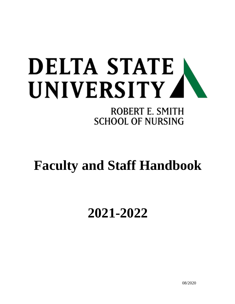# **DELTA STATE** UNIVERSITY 4

# ROBERT E. SMITH **SCHOOL OF NURSING**

# **Faculty and Staff Handbook**

# **2021-2022**

08/2020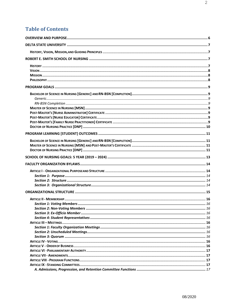### **Table of Contents**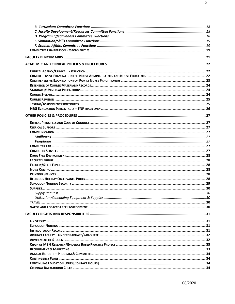| Supply Request. | 30 |
|-----------------|----|
|                 |    |
|                 |    |
|                 |    |
|                 |    |
|                 |    |
|                 |    |
|                 |    |
|                 |    |
|                 |    |
|                 |    |
|                 |    |
|                 |    |
|                 |    |
|                 |    |
|                 |    |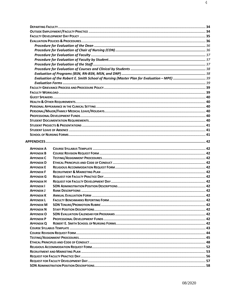|                   | Evaluation of the Robert E. Smith School of Nursing (Master Plan for Evaluation - MPE)  39 |  |
|-------------------|--------------------------------------------------------------------------------------------|--|
|                   |                                                                                            |  |
|                   |                                                                                            |  |
|                   |                                                                                            |  |
|                   |                                                                                            |  |
|                   |                                                                                            |  |
|                   |                                                                                            |  |
|                   |                                                                                            |  |
|                   |                                                                                            |  |
|                   |                                                                                            |  |
|                   |                                                                                            |  |
|                   |                                                                                            |  |
|                   |                                                                                            |  |
|                   |                                                                                            |  |
|                   |                                                                                            |  |
| <b>APPENDIX A</b> |                                                                                            |  |
| <b>APPENDIX B</b> |                                                                                            |  |
| <b>APPENDIX C</b> |                                                                                            |  |
| <b>APPENDIX D</b> |                                                                                            |  |
| <b>APPENDIX E</b> |                                                                                            |  |
| <b>APPENDIX F</b> |                                                                                            |  |
| <b>APPENDIX G</b> |                                                                                            |  |
| <b>APPENDIX H</b> |                                                                                            |  |
| <b>APPENDIX I</b> |                                                                                            |  |
| <b>APPENDIX J</b> |                                                                                            |  |
| <b>APPENDIX K</b> |                                                                                            |  |
| <b>APPENDIX L</b> |                                                                                            |  |
| <b>APPENDIX M</b> |                                                                                            |  |
| <b>APPENDIX N</b> |                                                                                            |  |
| <b>APPENDIX O</b> |                                                                                            |  |
| <b>APPENDIX P</b> |                                                                                            |  |
| <b>APPENDIX Q</b> |                                                                                            |  |
|                   |                                                                                            |  |
|                   |                                                                                            |  |
|                   |                                                                                            |  |
|                   |                                                                                            |  |
|                   |                                                                                            |  |
|                   |                                                                                            |  |
|                   |                                                                                            |  |
|                   |                                                                                            |  |
|                   |                                                                                            |  |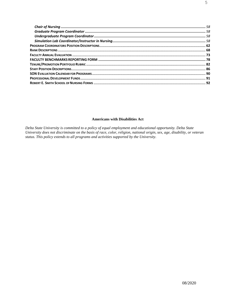#### **Americans with Disabilities Act**

Delta State University is committed to a policy of equal employment and educational opportunity. Delta State University does not discriminate on the basis of race, color, religion, national origin, sex, age, disability, or veteran status. This policy extends to all programs and activities supported by the University.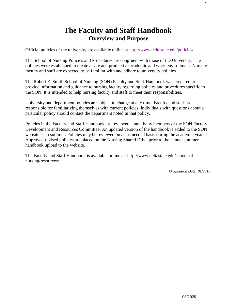# **The Faculty and Staff Handbook Overview and Purpose**

<span id="page-5-0"></span>Official policies of the university are available online at [http://www.deltastate.edu/policies/.](http://www.deltastate.edu/policies/)

The School of Nursing Policies and Procedures are congruent with those of the University. The policies were established to create a safe and productive academic and work environment. Nursing faculty and staff are expected to be familiar with and adhere to university policies.

The Robert E. Smith School of Nursing (SON) Faculty and Staff Handbook was prepared to provide information and guidance to nursing faculty regarding policies and procedures specific to the SON. It is intended to help nursing faculty and staff to meet their responsibilities.

University and department policies are subject to change at any time. Faculty and staff are responsible for familiarizing themselves with current policies. Individuals with questions about a particular policy should contact the department noted in that policy.

Policies in the Faculty and Staff Handbook are reviewed annually by members of the SON Faculty Development and Resources Committee. An updated version of the handbook is added to the SON website each summer. Policies may be reviewed on an as needed basis during the academic year. Approved revised policies are placed on the Nursing Shared Drive prior to the annual summer handbook upload to the website.

The Faculty and Staff Handbook is available online at: [http://www.deltastate.edu/school-of](http://www.deltastate.edu/school-of-nursing/resources/)[nursing/resources/](http://www.deltastate.edu/school-of-nursing/resources/)

*Origination Date: 01/2019*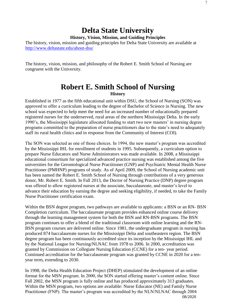# **Delta State University**

**History, Vision, Mission, and Guiding Principles**

<span id="page-6-1"></span><span id="page-6-0"></span>The history, vision, mission and guiding principles for Delta State University are available at <http://www.deltastate.edu/about-dsu/>

The history, vision, mission, and philosophy of the Robert E. Smith School of Nursing are congruent with the University.

### **Robert E. Smith School of Nursing History**

<span id="page-6-4"></span><span id="page-6-3"></span><span id="page-6-2"></span>Established in 1977 as the fifth educational unit within DSU, the School of Nursing (SON) was approved to offer a curriculum leading to the degree of Bachelor of Science in Nursing. The new school was expected to help meet the need for an increased number of educationally prepared registered nurses for the underserved, rural areas of the northern Mississippi Delta. In the early 1990's, the Mississippi legislature allocated funding to start two new masters' in nursing degree programs committed to the preparation of nurse practitioners due to the state's need to adequately staff its rural health clinics and in response from the Community of Interest (COI).

The SON was selected as one of those choices. In 1994, the new master's program was accredited by the Mississippi IHL for enrollment of students in 1995. Subsequently, a curriculum option to prepare Nurse Educators and Nurse Administrators was made available. In 2008, a Mississippi educational consortium for specialized advanced practice nursing was established among the five universities for the Gerontological Nurse Practitioner (GNP) and Psychiatric Mental Health Nurse Practitioner (PMHNP) programs of study. As of April 2009, the School of Nursing academic unit has been named the Robert E. Smith School of Nursing through contributions of a very generous donor, Mr. Robert E. Smith. In Fall 2013, the Doctor of Nursing Practice (DNP) degree program was offered to allow registered nurses at the associate, baccalaureate, and master's level to advance their education by earning the degree and seeking eligibility, if needed, to take the Family Nurse Practitioner certification exam.

Within the BSN degree program, two pathways are available to applicants: a BSN or an RN- BSN Completion curriculum. The baccalaureate program provides enhanced online course delivery through the learning management system for both the BSN and RN-BSN programs. The BSN program continues to offer a blend of the traditional classroom with online learning and the RN-BSN program courses are delivered online. Since 1981, the undergraduate program in nursing has produced 874 baccalaureate nurses for the Mississippi Delta and southeastern region. The BSN degree program has been continuously accredited since its inception by the Mississippi IHL and by the National League for Nursing/NLNAC from 1978 to 2006. In 2000, accreditation was granted by Commission on Collegiate Nursing Education (CCNE) for a ten- year period. Continued accreditation for the baccalaureate program was granted by CCNE in 2020 for a tenyear term, extending to 2030.

08/2020 In 1998, the Delta Health Education Project (DHEP) stimulated the development of an online format for the MSN program. In 2000, the SON started offering master's content online. Since Fall 2002, the MSN program is fully online and has produced approximately 313 graduates. Within the MSN program, two options are available: Nurse Educator (NE) and Family Nurse Practitioner (FNP). The master's program was accredited by the NLN/NLNAC through 2004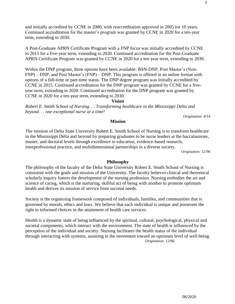and initially accredited by CCNE in 2000, with reaccreditation approved in 2005 for 10 years. Continued accreditation for the master's program was granted by CCNE in 2020 for a ten-year term, extending to 2030.

A Post-Graduate APRN Certificate Program with a FNP focus was initially accredited by CCNE in 2015 for a five-year term, extending to 2020. Continued accreditation for the Post-Graduate APRN Certificate Program was granted by CCNE in 2020 for a ten-year term, extending to 2030.

Within the DNP program, three options have been available: BSN-DNP, Post Master's (Non-FNP) – DNP, and Post Master's (FNP) – DNP. This program is offered in an online format with options of a full-time or part-time status. The DNP degree program was initially accredited by CCNE in 2015. Continued accreditation for the DNP program was granted by CCNE for a fiveyear term, extending to 2020. Continued accreditation for the DNP program was granted by CCNE in 2020 for a ten-year term, extending to 2030.

#### **Vision**

<span id="page-7-0"></span>*Robert E. Smith School of Nursing. . . Transforming healthcare in the Mississippi Delta and beyond. . . one exceptional nurse at a time!*

*Origination: 4/14*

#### **Mission**

The mission of Delta State University Robert E. Smith School of Nursing is to transform healthcare in the Mississippi Delta and beyond by preparing graduates to be nurse leaders at the baccalaureate, master, and doctoral levels through excellence in education, evidence-based research, interprofessional practice, and multidimensional partnerships in a diverse society.

*Origination: 12/96*

#### **Philosophy**

<span id="page-7-1"></span>The philosophy of the faculty of the Delta State University Robert E. Smith School of Nursing is consistent with the goals and mission of the University. The faculty believes clinical and theoretical scholarly inquiry fosters the development of the nursing profession. Nursing embodies the art and science of caring, which is the nurturing, skillful act of being with another to promote optimum health and derives its mission of service from societal needs.

Society is the organizing framework composed of individuals, families, and communities that is governed by morals, ethics and laws. We believe that each individual is unique and possesses the right to informed choices in the attainment of health care services.

Health is a dynamic state of being influenced by the spiritual, cultural, psychological, physical and societal components, which interact with the environment. The state of health is influenced by the perception of the individual and society. Nursing facilitates the health status of the individual through interacting with systems, assisting in the movement toward an optimum level of well-being. *Origination: 12/96*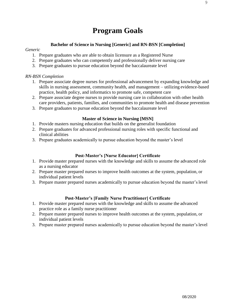# **Program Goals**

#### **Bachelor of Science in Nursing [Generic] and RN-BSN [Completion]**

#### <span id="page-8-2"></span><span id="page-8-1"></span><span id="page-8-0"></span>*Generic*

- 1. Prepare graduates who are able to obtain licensure as a Registered Nurse
- 2. Prepare graduates who can competently and professionally deliver nursing care
- 3. Prepare graduates to pursue education beyond the baccalaureate level

#### <span id="page-8-3"></span>*RN-BSN Completion*

- 1. Prepare associate degree nurses for professional advancement by expanding knowledge and skills in nursing assessment, community health, and management – utilizing evidence-based practice, health policy, and informatics to promote safe, competent care
- 2. Prepare associate degree nurses to provide nursing care in collaboration with other health care providers, patients, families, and communities to promote health and disease prevention
- 3. Prepare graduates to pursue education beyond the baccalaureate level

#### **Master of Science in Nursing [MSN]**

- <span id="page-8-4"></span>1. Provide masters nursing education that builds on the generalist foundation
- 2. Prepare graduates for advanced professional nursing roles with specific functional and clinical abilities
- <span id="page-8-5"></span>3. Prepare graduates academically to pursue education beyond the master's level

#### **Post-Master's [Nurse Educator] Certificate**

- <span id="page-8-6"></span>1. Provide master prepared nurses with the knowledge and skills to assume the advanced role as a nursing educator
- 2. Prepare master prepared nurses to improve health outcomes at the system, population, or individual patient levels
- 3. Prepare master prepared nurses academically to pursue education beyond the master'slevel

#### **Post-Master's [Family Nurse Practitioner] Certificate**

- <span id="page-8-7"></span>1. Provide master prepared nurses with the knowledge and skills to assume the advanced practice role as a family nurse practitioner
- 2. Prepare master prepared nurses to improve health outcomes at the system, population, or individual patient levels
- 3. Prepare master prepared nurses academically to pursue education beyond the master's level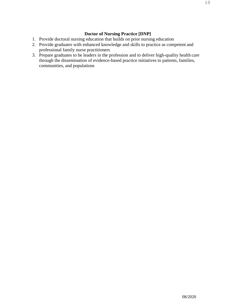#### **Doctor of Nursing Practice [DNP]**

- <span id="page-9-0"></span>1. Provide doctoral nursing education that builds on prior nursing education
- 2. Provide graduates with enhanced knowledge and skills to practice as competent and professional family nurse practitioners
- 3. Prepare graduates to be leaders in the profession and to deliver high-quality health care through the dissemination of evidence-based practice initiatives to patients, families, communities, and populations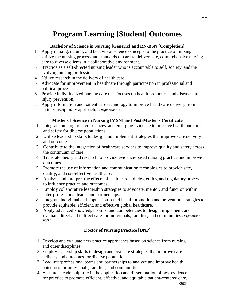# **Program Learning [Student] Outcomes**

#### **Bachelor of Science in Nursing [Generic] and RN-BSN [Completion]**

- <span id="page-10-1"></span><span id="page-10-0"></span>1. Apply nursing, natural, and behavioral science concepts to the practice of nursing.
- 2. Utilize the nursing process and standards of care to deliver safe, comprehensive nursing care to diverse clients in a collaborative environment.
- 3. Practice as a self-directed nursing leader who is accountable to self, society, and the evolving nursing profession.
- 4. Utilize research in the delivery of health care.
- 5. Advocate for improvement in healthcare through participation in professional and political processes.
- 6. Provide individualized nursing care that focuses on health promotion and disease and injury prevention.
- 7. Apply information and patient care technology to improve healthcare delivery from an interdisciplinary approach. *Origination: 05/10*

#### **Master of Science in Nursing [MSN] and Post-Master's Certificate**

- <span id="page-10-2"></span>1. Integrate nursing, related sciences, and emerging evidence to improve health outcomes and safety for diverse populations.
- 2. Utilize leadership skills to design and implement strategies that improve care delivery and outcomes.
- 3. Contribute to the integration of healthcare services to improve quality and safety across the continuum of care.
- 4. Translate theory and research to provide evidence-based nursing practice and improve outcomes.
- 5. Promote the use of information and communication technologies to provide safe, quality, and cost-effective healthcare.
- 6. Analyze and interpret the effects of healthcare policies, ethics, and regulatory processes to influence practice and outcomes.
- 7. Employ collaborative leadership strategies to advocate, mentor, and function within inter-professional teams and partnerships.
- 8. Integrate individual and population-based health promotion and prevention strategies to provide equitable, efficient, and effective global healthcare.
- 9. Apply advanced knowledge, skills, and competencies to design, implement, and evaluate direct and indirect care for individuals, families, and communities.*Origination: 05/11*

#### **Doctor of Nursing Practice [DNP]**

- <span id="page-10-3"></span>1. Develop and evaluate new practice approaches based on science from nursing and other disciplines.
- 2. Employ leadership skills to design and evaluate strategies that improve care delivery and outcomes for diverse populations.
- 3. Lead interprofessional teams and partnerships to analyze and improve health outcomes for individuals, families, and communities.
- 4. Assume a leadership role in the application and dissemination of best evidence for practice to promote efficient, effective, and equitable patient-centered care.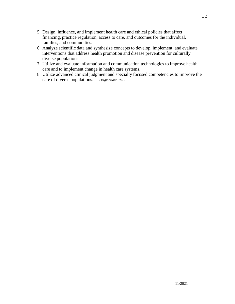- 5. Design, influence, and implement health care and ethical policies that affect financing, practice regulation, access to care, and outcomes for the individual, families, and communities.
- 6. Analyze scientific data and synthesize concepts to develop, implement, and evaluate interventions that address health promotion and disease prevention for culturally diverse populations.
- 7. Utilize and evaluate information and communication technologies to improve health care and to implement change in health care systems.
- 8. Utilize advanced clinical judgment and specialty focused competencies to improve the care of diverse populations. *Origination: 01/12*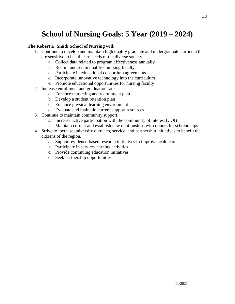# **School of Nursing Goals: 5 Year (2019 – 2024)**

#### <span id="page-12-0"></span>**The Robert E. Smith School of Nursing will:**

- 1. Continue to develop and maintain high quality graduate and undergraduate curricula that are sensitive to health care needs of the diverse society.
	- a. Collect data related to program effectiveness annually
	- b. Recruit and retain qualified nursing faculty
	- c. Participate in educational consortium agreements
	- d. Incorporate innovative technology into the curriculum
	- e. Promote educational opportunities for nursing faculty
- 2. Increase enrollment and graduation rates.
	- a. Enhance marketing and recruitment plan
	- b. Develop a student retention plan
	- c. Enhance physical learning environment
	- d. Evaluate and maintain current support resources
- 3. Continue to maintain community support.
	- a. Increase active participation with the community of interest (COI)
	- b. Maintain current and establish new relationships with donors for scholarships
- 4. Strive to increase university outreach, service, and partnership initiatives to benefit the citizens of the region.
	- a. Support evidence-based research initiatives to improve healthcare
	- b. Participate in service-learning activities
	- c. Provide continuing education initiatives
	- d. Seek partnership opportunities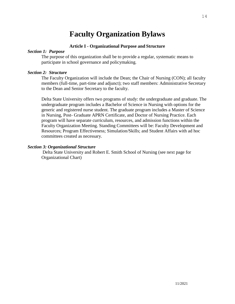# **Faculty Organization Bylaws**

#### **Article I - Organizational Purpose and Structure**

#### <span id="page-13-2"></span><span id="page-13-1"></span><span id="page-13-0"></span>*Section 1: Purpose*

The purpose of this organization shall be to provide a regular, systematic means to participate in school governance and policymaking.

#### <span id="page-13-3"></span>*Section 2: Structure*

The Faculty Organization will include the Dean; the Chair of Nursing (CON); all faculty members (full-time, part-time and adjunct); two staff members: Administrative Secretary to the Dean and Senior Secretary to the faculty.

Delta State University offers two programs of study: the undergraduate and graduate. The undergraduate program includes a Bachelor of Science in Nursing with options for the generic and registered nurse student. The graduate program includes a Master of Science in Nursing, Post- Graduate APRN Certificate, and Doctor of Nursing Practice. Each program will have separate curriculum, resources, and admission functions within the Faculty Organization Meeting. Standing Committees will be: Faculty Development and Resources; Program Effectiveness; Simulation/Skills; and Student Affairs with ad hoc committees created as necessary.

#### <span id="page-13-4"></span>*Section 3: Organizational Structure*

Delta State University and Robert E. Smith School of Nursing (see next page for Organizational Chart)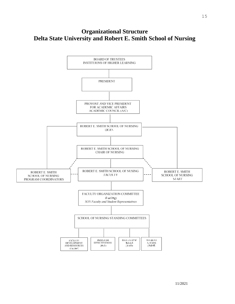# <span id="page-14-0"></span>**Organizational Structure Delta State University and Robert E. Smith School of Nursing**

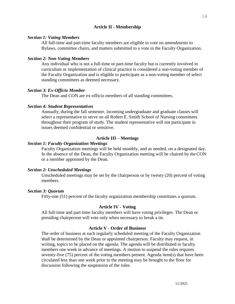#### **Article II - Membership**

#### <span id="page-15-0"></span>*Section 1: Voting Members*

All full-time and part-time faculty members are eligible to vote on amendments to Bylaws, committee chairs, and matters submitted to a vote in the Faculty Organization.

#### <span id="page-15-1"></span>*Section 2: Non-Voting Members*

Any individual who is not a full-time or part-time faculty but is currently involved in curriculum or implementation of clinical practice is considered a non-voting member of the Faculty Organization and is eligible to participate as a non-voting member of select standing committees as deemed necessary.

#### <span id="page-15-2"></span>*Section 3: Ex-Officio Member*

The Dean and CON are ex-officio members of all standing committees.

#### <span id="page-15-3"></span>*Section 4: Student Representatives*

Annually, during the fall semester, incoming undergraduate and graduate classes will select a representative to serve on all Robert E. Smith School of Nursing committees throughout their program of study. The student representative will not participate in issues deemed confidential or sensitive.

#### **Article III – Meetings**

#### <span id="page-15-5"></span><span id="page-15-4"></span>*Section 1: Faculty Organization Meetings*

Faculty Organization meetings will be held monthly, and as needed, on a designated day. In the absence of the Dean, the Faculty Organization meeting will be chaired by theCON or a member appointed by the Dean.

#### <span id="page-15-6"></span>*Section 2: Unscheduled Meetings*

Unscheduled meetings may be set by the chairperson or by twenty (20) percent of voting members.

#### <span id="page-15-8"></span><span id="page-15-7"></span>*Section 3: Quorum*

Fifty-one (51) percent of the faculty organization membership constitutes a quorum.

#### **Article IV - Voting**

All full-time and part-time faculty members will have voting privileges. The Dean or presiding chairperson will vote only when necessary to break a tie.

#### **Article V - Order of Business**

<span id="page-15-9"></span>The order of business at each regularly scheduled meeting of the Faculty Organization shall be determined by the Dean or appointed chairperson. Faculty may request, in writing, topics to be placed on the agenda. The agenda will be distributed to faculty members one week in advance of meetings. A motion to suspend the rules requires seventy-five (75) percent of the voting members present. Agenda item(s) that have been circulated less than one week prior to the meeting may be brought to the floor for discussion following the suspension of the rules.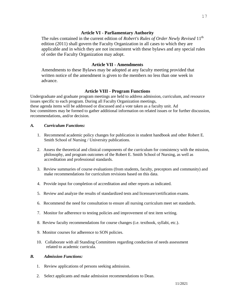#### **Article VI - Parliamentary Authority**

<span id="page-16-0"></span>The rules contained in the current edition of *Robert's Rules of Order Newly Revised* 11th edition (2011) shall govern the Faculty Organization in all cases to which they are applicable and in which they are not inconsistent with these bylaws and any special rules of order the Faculty Organization may adopt.

#### **Article VII - Amendments**

<span id="page-16-1"></span>Amendments to these Bylaws may be adopted at any faculty meeting provided that written notice of the amendment is given to the members no less than one week in advance.

#### **Article VIII - Program Functions**

<span id="page-16-2"></span>Undergraduate and graduate program meetings are held to address admission, curriculum, and resource issues specific to each program. During all Faculty Organization meetings, these agenda items will be addressed or discussed and a vote taken as a faculty unit. Ad hoc committees may be formed to gather additional information on related issues or for further discussion, recommendations, and/or decision.

#### *A. Curriculum Functions:*

- 1. Recommend academic policy changes for publication in student handbook and other Robert E. Smith School of Nursing / University publications.
- 2. Assess the theoretical and clinical components of the curriculum for consistency with the mission, philosophy, and program outcomes of the Robert E. Smith School of Nursing, as well as accreditation and professional standards.
- 3. Review summaries of course evaluations (from students, faculty, preceptors and community) and make recommendations for curriculum revisions based on this data.
- 4. Provide input for completion of accreditation and other reports as indicated.
- 5. Review and analyze the results of standardized tests and licensure/certification exams.
- 6. Recommend the need for consultation to ensure all nursing curriculum meet set standards.
- 7. Monitor for adherence to testing policies and improvement of test item writing.
- 8. Review faculty recommendations for course changes (i.e. textbook, syllabi, etc.).
- 9. Monitor courses for adherence to SON policies.
- 10. Collaborate with all Standing Committees regarding conduction of needs assessment related to academic curricula.

#### *B. Admission Functions:*

- 1. Review applications of persons seeking admission.
- 2. Select applicants and make admission recommendations to Dean.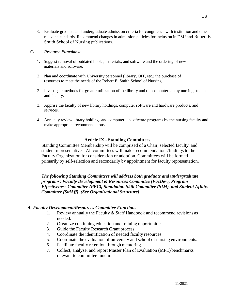3. Evaluate graduate and undergraduate admission criteria for congruence with institution and other relevant standards. Recommend changes in admission policies for inclusion in DSU and Robert E. Smith School of Nursing publications.

#### *C. Resource Functions:*

- 1. Suggest removal of outdated books, materials, and software and the ordering of new materials and software.
- 2. Plan and coordinate with University personnel (library, OIT, etc.) the purchase of resources to meet the needs of the Robert E. Smith School of Nursing.
- 2. Investigate methods for greater utilization of the library and the computer lab by nursing students and faculty.
- 3. Apprise the faculty of new library holdings, computer software and hardware products, and services.
- 4. Annually review library holdings and computer lab software programs by the nursing faculty and make appropriate recommendations.

#### **Article IX - Standing Committees**

<span id="page-17-0"></span>Standing Committee Membership will be comprised of a Chair, selected faculty, and student representatives. All committees will make recommendations/findings to the Faculty Organization for consideration or adoption. Committees will be formed primarily by self-selection and secondarily by appointment for faculty representation.

*The following Standing Committees will address both graduate and undergraduate programs: Faculty Development & Resources Committee (FacDev), Program Effectiveness Committee (PEC), Simulation Skill Committee (SIM), and Student Affairs Committee (StdAff). (See Organizational Structure)*

#### <span id="page-17-2"></span><span id="page-17-1"></span>*A. Faculty Development/Resources Committee Functions*

- 1. Review annually the Faculty & Staff Handbook and recommend revisions as needed.
- 2. Organize continuing education and training opportunities.
- 3. Guide the Faculty Research Grant process.
- 4. Coordinate the identification of needed faculty resources.
- 5. Coordinate the evaluation of university and school of nursing environments.
- 6. Facilitate faculty retention through mentoring.
- 7. Collect, analyze, and report Master Plan of Evaluation (MPE) benchmarks relevant to committee functions.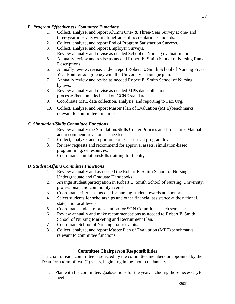#### <span id="page-18-0"></span>*B. Program Effectiveness Committee Functions*

- 1. Collect, analyze, and report Alumni One- & Three-Year Survey at one- and three-year intervals within timeframe of accreditation standards.
- 2. Collect, analyze, and report End of Program Satisfaction Surveys.
- 3. Collect, analyze, and report Employer Surveys.
- 4. Review annually and revise as needed School of Nursing evaluation tools.
- 5. Annually review and revise as needed Robert E. Smith School of Nursing Rank Descriptions.
- 6. Annually review, revise, and/or report Robert E. Smith School of Nursing Five-Year Plan for congruency with the University's strategic plan.
- 7. Annually review and revise as needed Robert E. Smith School of Nursing bylaws.
- 8. Review annually and revise as needed MPE data collection processes/benchmarks based on CCNE standards.
- 9. Coordinate MPE data collection, analysis, and reporting to Fac. Org.
- 10. Collect, analyze, and report Master Plan of Evaluation (MPE) benchmarks relevant to committee functions.

#### <span id="page-18-1"></span>*C. Simulation/Skills Committee Functions*

- 1. Review annually the Simulation/Skills Center Policies and Procedures Manual and recommend revisions as needed.
- 2. Collect, analyze, and report outcomes across all program levels.
- 3. Review requests and recommend for approval assets, simulation-based programming, or resources.
- 4. Coordinate simulation/skills training for faculty.

#### <span id="page-18-2"></span>*D. Student Affairs Committee Functions*

- 1. Review annually and as needed the Robert E. Smith School of Nursing Undergraduate and Graduate Handbooks.
- 2. Arrange student participation in Robert E. Smith School of Nursing,University, professional, and community events.
- 3. Coordinate criteria as needed for nursing student awards and honors.
- 4. Select students for scholarships and other financial assistance at the national, state, and local levels.
- 5. Coordinate student representation for SON Committees each semester.
- 6. Review annually and make recommendations as needed to Robert E. Smith School of Nursing Marketing and Recruitment Plan.
- 7. Coordinate School of Nursing major events.
- 8. Collect, analyze, and report Master Plan of Evaluation (MPE) benchmarks relevant to committee functions.

#### **Committee Chairperson Responsibilities**

<span id="page-18-3"></span>The chair of each committee is selected by the committee members or appointed by the Dean for a term of two (2) years, beginning in the month of January.

1. Plan with the committee, goals/actions for the year, including those necessaryto meet: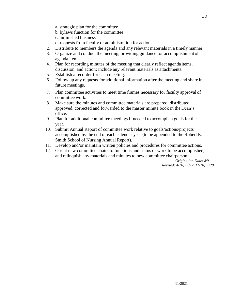- a. strategic plan for the committee
- b. bylaws function for the committee
- c. unfinished business
- d. requests from faculty or administration for action
- 2. Distribute to members the agenda and any relevant materials in a timelymanner.
- 3. Organize and conduct the meeting, providing guidance for accomplishment of agenda items.
- 4. Plan for recording minutes of the meeting that clearly reflect agenda items, discussion, and action; include any relevant materials as attachments.
- 5. Establish a recorder for each meeting.
- 6. Follow up any requests for additional information after the meeting and share in future meetings.
- 7. Plan committee activities to meet time frames necessary for faculty approval of committee work.
- 8. Make sure the minutes and committee materials are prepared, distributed, approved, corrected and forwarded to the master minute book in the Dean's office.
- 9. Plan for additional committee meetings if needed to accomplish goals forthe year.
- 10. Submit Annual Report of committee work relative to goals/actions/projects accomplished by the end of each calendar year (to be appended to the Robert E. Smith School of Nursing Annual Report).
- 11. Develop and/or maintain written policies and procedures for committee actions.
- 12. Orient new committee chairs to functions and status of work to be accomplished, and relinquish any materials and minutes to new committee chairperson.

*Origination Date: 8/9 Revised: 4/16, 11/17, 11/18,11/20*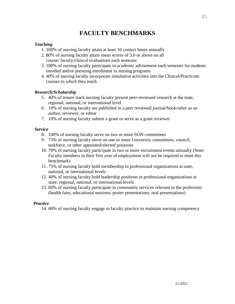# **FACULTY BENCHMARKS**

#### <span id="page-20-0"></span>*Teaching*

- 1. 100% of nursing faculty attain at least 10 contact hours annually
- 2. 80% of nursing faculty attain mean scores of 3.0 or above on all course/ faculty/clinical evaluations each semester
- 3. 100% of nursing faculty participate in academic advisement each semester forstudents enrolled and/or pursuing enrollment in nursing programs
- 4. 40% of nursing faculty incorporate simulation activities into the Clinical/Practicum courses in which they teach

#### *Research/Scholarship*

- 5. 40% of tenure track nursing faculty present peer-reviewed research at the state, regional, national, or international level
- 6. 10% of nursing faculty are published in a peer reviewed journal/book/other as an author, reviewer, or editor
- 7. 10% of nursing faculty submit a grant or serve as a grant reviewer

#### *Service*

- 8. 100% of nursing faculty serve on two or more SON committees
- 9. 75% of nursing faculty serve on one or more University committees, council, taskforce, or other appointed/elected positions
- 10. 70% of nursing faculty participate in two or more recruitment events annually (Note: Faculty members in their first year of employment will not be required to meet this benchmark)
- 11. 75% of nursing faculty hold membership in professional organizations at state, national, or international levels
- 12. 40% of nursing faculty hold leadership positions in professional organizations at state, regional, national, or international levels
- 13. 60% of nursing faculty participate in community services relevant to the profession (health fairs, educational sessions, poster presentations, oral presentations)

#### *Practice*

14. 60% of nursing faculty engage in faculty practice to maintain nursing competency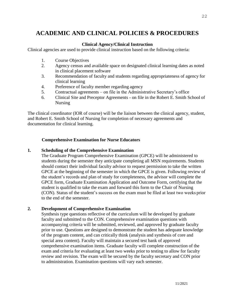# <span id="page-21-0"></span>**ACADEMIC AND CLINICAL POLICIES & PROCEDURES**

#### **Clinical Agency/Clinical Instruction**

<span id="page-21-1"></span>Clinical agencies are used to provide clinical instruction based on the following criteria:

- 1. Course Objectives
- 2. Agency census and available space on designated clinical learning dates as noted in clinical placement software
- 3. Recommendation of faculty and students regarding appropriateness of agency for clinical learning
- 4. Preference of faculty member regarding agency
- 5. Contractual agreements on file in the Administrative Secretary's office
- 6. Clinical Site and Preceptor Agreements on file in the Robert E. Smith School of Nursing

The clinical coordinator (IOR of course) will be the liaison between the clinical agency, student, and Robert E. Smith School of Nursing for completion of necessary agreements and documentation for clinical learning.

#### **Comprehensive Examination for Nurse Educators**

#### <span id="page-21-2"></span>**1. Scheduling of the Comprehensive Examination**

The Graduate Program Comprehensive Examination (GPCE) will be administered to students during the semester they anticipate completing all MSN requirements. Students should contact their individual faculty advisor to request permission to take the written GPCE at the beginning of the semester in which the GPCE is given. Following review of the student's records and plan of study for completeness, the advisor will complete the GPCE form, Graduate Examination Application and Outcome Form, certifying that the student is qualified to take the exam and forward this form to the Chair of Nursing (CON). Status of the student's success on the exam must be filed at least two weeks prior to the end of the semester.

#### **2. Development of Comprehensive Examination**

Synthesis type questions reflective of the curriculum will be developed by graduate faculty and submitted to the CON. Comprehensive examination questions with accompanying criteria will be submitted, reviewed, and approved by graduate faculty prior to use. Questions are designed to demonstrate the student has adequate knowledge of the program content, and can critically think (analysis and synthesis of core and special area content). Faculty will maintain a secured test bank of approved comprehensive examination items. Graduate faculty will complete construction of the exam and criteria for evaluating at least two weeks prior to testing to allow for faculty review and revision. The exam will be secured by the faculty secretary and CON prior to administration. Examination questions will vary each semester.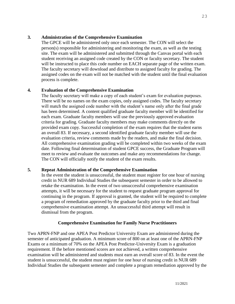#### **3. Administration of the Comprehensive Examination**

The GPCE will be administered only once each semester. The CON will select the person(s) responsible for administering and monitoring the exam, as well as the testing site. The exam will be administered and submitted through the Canvas portal with each student receiving an assigned code created by the CON or faculty secretary. The student will be instructed to place this code number on EACH separate page of the written exam. The faculty secretary will download and distribute to assigned faculty for grading. The assigned codes on the exam will not be matched with the student until the final evaluation process is complete.

#### **4. Evaluation of the Comprehensive Examination**

The faculty secretary will make a copy of each student's exam for evaluation purposes. There will be no names on the exam copies, only assigned codes. The faculty secretary will match the assigned code number with the student's name only after the final grade has been determined. A content qualified graduate faculty member will be identified for each exam. Graduate faculty members will use the previously approved evaluation criteria for grading. Graduate faculty members may make comments directly on the provided exam copy. Successful completion of the exam requires that the student earns an overall 83. If necessary, a second identified graduate faculty member will use the evaluation criteria, review comments made by the readers, and make the final decision. All comprehensive examination grading will be completed within two weeks of the exam date. Following final determination of student GPCE success, the Graduate Program will meet to review and evaluate the outcomes and make any recommendations for change. The CON will officially notify the student of the exam results.

#### **5. Repeat Administration of the Comprehensive Examination**

In the event the student is unsuccessful, the student must register for one hour of nursing credit in NUR 689 Individual Studies the subsequent semester in order to be allowed to retake the examination. In the event of two unsuccessful comprehensive examination attempts, it will be necessary for the student to request graduate program approval for continuing in the program. If approval is granted, the student will be required to complete a program of remediation approved by the graduate faculty prior to the third and final comprehensive examination attempt. An unsuccessful third attempt will result in dismissal from the program.

#### **Comprehensive Examination for Family Nurse Practitioners**

<span id="page-22-0"></span>Two APRN-FNP and one APEA Post Predictor University Exam are administered during the semester of anticipated graduation. A minimum score of 800 on at least one of the APRN-FNP Exams or a minimum of 70% on the APEA Post Predictor-University Exam is a graduation requirement. If the before mentioned scores are not achieved, a written comprehensive examination will be administered and students must earn an overall score of 83. In the event the student is unsuccessful, the student must register for one hour of nursing credit in NUR 689 Individual Studies the subsequent semester and complete a program remediation approved by the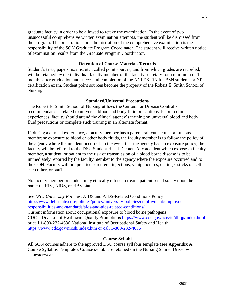graduate faculty in order to be allowed to retake the examination. In the event of two unsuccessful comprehensive written examination attempts, the student will be dismissed from the program. The preparation and administration of the comprehensive examination is the responsibility of the SON Graduate Program Coordinator. The student will receive written notice of examination results from the Graduate Program Coordinator.

#### **Retention of Course Materials/Records**

<span id="page-23-0"></span>Student's tests, papers, exams, etc., called point sources, and from which grades are recorded, will be retained by the individual faculty member or the faculty secretary for a minimum of 12 months after graduation and successful completion of the NCLEX-RN for BSN students or NP certification exam. Student point sources become the property of the Robert E. Smith School of Nursing.

#### **Standard/Universal Precautions**

<span id="page-23-1"></span>The Robert E. Smith School of Nursing utilizes the Centers for Disease Control's recommendations related to universal blood and body fluid precautions. Prior to clinical experiences, faculty should attend the clinical agency's training on universal blood and body fluid precautions or complete such training in an alternate format.

If, during a clinical experience, a faculty member has a parenteral, cutaneous, or mucous membrane exposure to blood or other body fluids, the faculty member is to follow the policy of the agency where the incident occurred. In the event that the agency has no exposure policy, the faculty will be referred to the DSU Student Health Center. Any accident which exposes a faculty member, a student, or patient to the risk of transmission of a blood borne disease is to be immediately reported by the faculty member to the agency where the exposure occurred and to the CON. Faculty will not practice parenteral injections, venipunctures, or finger sticks on self, each other, or staff.

No faculty member or student may ethically refuse to treat a patient based solely upon the patient's HIV, AIDS, or HBV status.

See *DSU University Policies*, AIDS and AIDS-Related Conditions Policy [http://www.deltastate.edu/policies/policy/university-policies/employment/employee](http://www.deltastate.edu/policies/policy/university-policies/employment/employee-responsibilities-and-standards/aids-and-aids-related-conditions/)[responsibilities-and-standards/aids-and-aids-related-conditions/](http://www.deltastate.edu/policies/policy/university-policies/employment/employee-responsibilities-and-standards/aids-and-aids-related-conditions/) Current information about occupational exposure to blood borne pathogens: CDC's Division of Healthcare Quality Promotions<https://www.cdc.gov/ncezid/dhqp/index.html> or call 1-800-232-4636 National Institute of Occupational Safety and Health [https://www.cdc.gov/niosh/index.htm or call 1-800-232-4636](https://www.cdc.gov/niosh/index.htm%20or%20call%201-800-232-4636)

#### **Course Syllabi**

<span id="page-23-2"></span>All SON courses adhere to the approved DSU course syllabus template (see **Appendix A**: Course Syllabus Template). Course syllabi are retained on the Nursing Shared Drive by semester/year.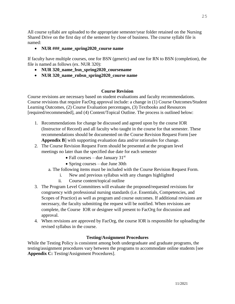All course syllabi are uploaded to the appropriate semester/year folder retained on the Nursing Shared Drive on the first day of the semester by close of business. The course syllabi file is named:

#### • **NUR ###\_name\_spring2020\_course name**

If faculty have multiple courses, one for BSN (generic) and one for RN to BSN (completion), the file is named as follows (ex. NUR 320):

- **NUR 320\_name\_bsn\_spring2020\_coursename**
- **NUR 320\_name\_rnbsn\_spring2020\_course name**

#### **Course Revision**

<span id="page-24-0"></span>Course revisions are necessary based on student evaluations and faculty recommendations. Course revisions that require FacOrg approval include: a change in (1) Course Outcomes/Student Learning Outcomes, (2) Course Evaluation percentages, (3) Textbooks and Resources [required/recommended], and (4) Content/Topical Outline. The process is outlined below:

- 1. Recommendations for change be discussed and agreed upon by the course IOR (Instructor of Record) and all faculty who taught in the course for that semester. These recommendations should be documented on the Course Revision Request Form [see **Appendix B**] with supporting evaluation data and/or rationales for change.
- 2. The Course Revision Request Form should be presented at the program level meetings no later than the specified due date for each semester
	- Fall courses due January  $31<sup>st</sup>$
	- Spring courses due June 30th
	- a. The following items must be included with the Course Revision Request Form.
		- i. New and previous syllabus with any changes highlighted
		- ii. Course content/topical outline
- 3. The Program Level Committees will evaluate the proposed/requested revisions for congruency with professional nursing standards (i.e. Essentials, Competencies, and Scopes of Practice) as well as program and course outcomes. If additional revisions are necessary, the faculty submitting the request will be notified. When revisions are complete, the Course IOR or designee will present to FacOrg for discussion and approval.
- 4. When revisions are approved by FacOrg, the course IOR is responsible for uploading the revised syllabus in the course.

#### **Testing/Assignment Procedures**

<span id="page-24-1"></span>While the Testing Policy is consistent among both undergraduate and graduate programs, the testing/assignment procedures vary between the programs to accommodate online students [see Appendix C: Testing/Assignment Procedures].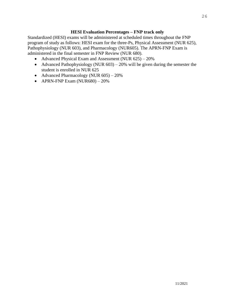#### **HESI Evaluation Percentages – FNP track only**

<span id="page-25-0"></span>Standardized (HESI) exams will be administered at scheduled times throughout the FNP program of study as follows: HESI exam for the three-Ps, Physical Assessment (NUR 625), Pathophysiology (NUR 603), and Pharmacology (NUR605). The APRN-FNP Exam is administered in the final semester in FNP Review (NUR 680).

- Advanced Physical Exam and Assessment (NUR 625) 20%
- Advanced Pathophysiology (NUR  $603$ ) 20% will be given during the semester the student is enrolled in NUR 625
- Advanced Pharmacology (NUR 605) 20%
- APRN-FNP Exam  $(NUR680) 20%$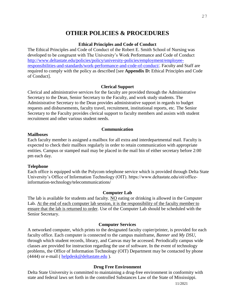## **OTHER POLICIES & PROCEDURES**

#### **Ethical Principles and Code of Conduct**

<span id="page-26-1"></span><span id="page-26-0"></span>The Ethical Principles and Code of Conduct of the Robert E. Smith School of Nursing was developed to be congruent with The University's Work Performance and Code of Conduct [http://www.deltastate.edu/policies/policy/university-policies/employment/employee](http://www.deltastate.edu/policies/policy/university-policies/employment/employee-responsibilities-and-standards/work-performance-and-code-of-conduct/)[responsibilities-and-standards/work-performance-and-code-of-conduct/.](http://www.deltastate.edu/policies/policy/university-policies/employment/employee-responsibilities-and-standards/work-performance-and-code-of-conduct/) Faculty and Staff are required to comply with the policy as described [see **Appendix D:** Ethical Principles and Code of Conduct].

#### **Clerical Support**

<span id="page-26-2"></span>Clerical and administrative services for the faculty are provided through the Administrative Secretary to the Dean, Senior Secretary to the Faculty, and work study students. The Administrative Secretary to the Dean provides administrative support in regards to budget requests and disbursements, faculty travel, recruitment, institutional reports, etc. The Senior Secretary to the Faculty provides clerical support to faculty members and assists with student recruitment and other various student needs.

#### **Communication**

#### <span id="page-26-4"></span><span id="page-26-3"></span>**Mailboxes**

Each faculty member is assigned a mailbox for all extra and interdepartmental mail. Faculty is expected to check their mailbox regularly in order to retain communication with appropriate entities. Campus or stamped mail may be placed in the mail bin of either secretary before 2:00 pm each day.

#### <span id="page-26-5"></span>**Telephone**

Each office is equipped with the Polycom telephone service which is provided through Delta State University's Office of Information Technology (OIT). https://www.deltastate.edu/oit/officeinformation-technology/telecommunications/

#### **Computer Lab**

<span id="page-26-6"></span>The lab is available for students and faculty. NO eating or drinking is allowed in the Computer Lab. At the end of each computer lab session, it is the responsibility of the faculty member to ensure that the lab is returned to order. Use of the Computer Lab should be scheduled with the Senior Secretary.

#### **Computer Services**

<span id="page-26-7"></span>A networked computer, which prints to the designated faculty copier/printer, is provided for each faculty office. Each computer is connected to the campus mainframe, *Banner* and *My DSU*, through which student records, library, and Canvas may be accessed. Periodically campus wide classes are provided for instruction regarding the use of software. In the event of technology problems, the Office of Information Technology (OIT) Department may be contacted by phone (4444) or e-mail ( [helpdesk@deltastate.edu](mailto:helpdesk@deltastate.edu) ).

#### <span id="page-26-8"></span>**[Drug Free Environment](http://www.deltastate.edu/pages/2473.asp?manid=%7bFB1B6D5E-42E1-4E62-9C7F-984DC61E745F%7d&id=%7bC25E0854-8598-4099-9857-06888D5208F5%7d)**

Delta State University is committed to maintaining a drug-free environment in conformity with state and federal laws set forth in the controlled Substances Law of the State of Mississippi.

11/2021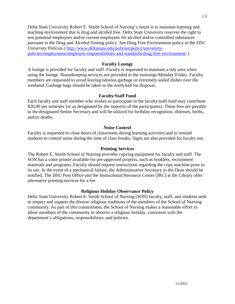Delta State University Robert E. Smith School of Nursing's intent is to maintain learning and teaching environment that is drug and alcohol free. Delta State University reserves the right to test potential employees and/or current employees for alcohol and/or controlled substances pursuant to the Drug and Alcohol Testing policy. See Drug Free Environment policy in the *DSU University Policies.(* [http://www.deltastate.edu/policies/policy/university](http://www.deltastate.edu/policies/policy/university-policies/employment/employee-responsibilities-and-standards/drug-free-environment/)[policies/employment/employee-responsibilities-and-standards/drug-free-environment/](http://www.deltastate.edu/policies/policy/university-policies/employment/employee-responsibilities-and-standards/drug-free-environment/) *)*

#### **Faculty Lounge**

<span id="page-27-0"></span>A lounge is provided for faculty and staff. Faculty is requested to maintain a tidy area when using the lounge. Housekeeping services are provided in the mornings Monday-Friday. Faculty members are requested to avoid leaving odorous garbage or extremely soiled dishes over the weekend. Garbage bags should be taken to the north hall for disposal.

#### **Faculty/Staff Fund**

<span id="page-27-1"></span>Each faculty and staff member who wishes to participate in the faculty/staff fund may contribute \$20.00 per semester (or as designated by the majority of the participants). These fees are payable to the designated Senior Secretary and will be utilized for birthday recognition, illnesses, births, and/or deaths.

#### **Noise Control**

<span id="page-27-2"></span>Faculty is requested to close doors of classrooms during learning activities and to remind students to control noise during the time of class breaks. Signs are also provided for faculty use.

#### **Printing Services**

<span id="page-27-3"></span>The Robert E. Smith School of Nursing provides copying equipment for faculty and staff. The SON has a color printer available for pre-approved projects, such as booklets, recruitment materials and programs. Faculty should request instructions regarding the copy machine prior to its use. In the event of a mechanical failure, the Administrative Secretary to the Dean should be notified. The DSU Post Office and the Instructional Resource Center (IRC) at the Library offer alternative printing services for a fee.

#### **Religious Holiday Observance Policy**

<span id="page-27-4"></span>Delta State University Robert E. Smith School of Nursing (SON) faculty, staff, and students seek to respect and support the diverse religious traditions of the members of the School of Nursing community. As part of this commitment, the School of Nursing makes a reasonable effort to allow members of the community to observe a religious holiday, consistent with the department's obligations, responsibilities, and policies.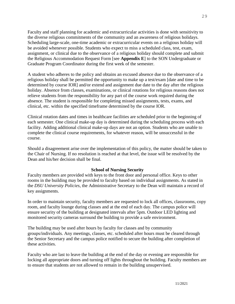Faculty and staff planning for academic and extracurricular activities is done with sensitivity to the diverse religious commitments of the community and an awareness of religious holidays. Scheduling large-scale, one-time academic or extracurricular events on a religious holiday will be avoided whenever possible. Students who expect to miss a scheduled class, test, exam, assignment, or clinical due to the observance of a religious holiday should complete and submit the Religious Accommodation Request Form [see **Appendix E**] to the SON Undergraduate or Graduate Program Coordinator during the first week of the semester.

A student who adheres to the policy and obtains an excused absence due to the observance of a religious holiday shall be permitted the opportunity to make up a test/exam [date and time to be determined by course IOR] and/or extend and assignment due date to the day after the religious holiday. Absence from classes, examinations, or clinical rotations for religious reasons does not relieve students from the responsibility for any part of the course work required during the absence. The student is responsible for completing missed assignments, tests, exams, and clinical, etc. within the specified timeframe determined by the course IOR.

Clinical rotation dates and times in healthcare facilities are scheduled prior to the beginning of each semester. One clinical make-up day is determined during the scheduling process with each facility. Adding additional clinical make-up days are not an option. Students who are unable to complete the clinical course requirements, for whatever reason, will be unsuccessful in the course.

Should a disagreement arise over the implementation of this policy, the matter should be taken to the Chair of Nursing. If no resolution is reached at that level, the issue will be resolved by the Dean and his/her decision shall be final.

#### **School of Nursing Security**

<span id="page-28-0"></span>Faculty members are provided with keys to the front door and personal office. Keys to other rooms in the building may be provided to faculty based on individual assignments. As stated in the *DSU University Policies*, the Administrative Secretary to the Dean will maintain a record of key assignments.

In order to maintain security, faculty members are requested to lock all offices, classrooms, copy room, and faculty lounge during classes and at the end of each day. The campus police will ensure security of the building at designated intervals after 5pm. Outdoor LED lighting and monitored security cameras surround the building to provide a safe environment.

The building may be used after hours by faculty for classes and by community groups/individuals. Any meetings, classes, etc. scheduled after hours must be cleared through the Senior Secretary and the campus police notified to secure the building after completion of these activities.

Faculty who are last to leave the building at the end of the day or evening are responsible for locking all appropriate doors and turning off lights throughout the building. Faculty members are to ensure that students are not allowed to remain in the building unsupervised.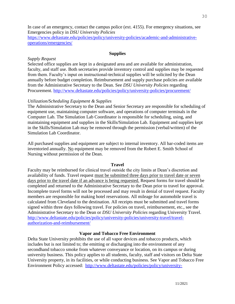In case of an emergency, contact the campus police (ext. 4155). For emergency situations, see Emergencies policy in *DSU University Policies*

[https://www.deltastate.edu/policies/policy/university-policies/academic-and-administrative](https://www.deltastate.edu/policies/policy/university-policies/academic-and-administrative-operations/emergencies/)[operations/emergencies/](https://www.deltastate.edu/policies/policy/university-policies/academic-and-administrative-operations/emergencies/)

#### **Supplies**

#### <span id="page-29-1"></span><span id="page-29-0"></span>*Supply Request*

Selected office supplies are kept in a designated area and are available for administration, faculty, and staff use. Both secretaries provide inventory control and supplies may be requested from them. Faculty's input on instructional-technical supplies will be solicited by the Dean annually before budget completion. Reimbursement and supply purchase policies are available from the Administrative Secretary to the Dean. See *DSU University Policies* regarding Procurement.<http://www.deltastate.edu/policies/policy/university-policies/procurement/>

#### <span id="page-29-2"></span>*Utilization/Scheduling Equipment & Supplies*

The Administrative Secretary to the Dean and Senior Secretary are responsible for scheduling of equipment use, maintaining computer software, and operations of computer terminals in the Computer Lab. The Simulation Lab Coordinator is responsible for scheduling, using, and maintaining equipment and supplies in the Skills/Simulation Lab. Equipment and supplies kept in the Skills/Simulation Lab may be removed through the permission (verbal/written) of the Simulation Lab Coordinator.

All purchased supplies and equipment are subject to internal inventory. All bar-coded items are inventoried annually. No equipment may be removed from the Robert E. Smith School of Nursing without permission of the Dean.

#### <span id="page-29-3"></span>**[Travel](http://www.deltastate.edu/pages/2473.asp?manid=%7b0F8D52DF-E386-484A-9893-EC46CED11DDA%7d)**

Faculty may be reimbursed for clinical travel outside the city limits at Dean's discretion and availability of funds. Travel request must be submitted three days prior to travel date or seven days prior to the travel date if an advance is being requested. Request forms for travel should be completed and returned to the Administrative Secretary to the Dean prior to travel for approval. Incomplete travel forms will not be processed and may result in denial of travel request. Faculty members are responsible for making hotel reservations. All mileage for automobile travel is calculated from Cleveland to the destination. All receipts must be submitted and travel forms signed within three days following travel. For policies on travel, reimbursement, etc., see the Administrative Secretary to the Dean or *DSU University Policies* regarding University Travel. [http://www.deltastate.edu/policies/policy/university-policies/university-travel/travel](http://www.deltastate.edu/policies/policy/university-policies/university-travel/travel-authorization-and-reimbursement/)[authorization-and-reimbursement/](http://www.deltastate.edu/policies/policy/university-policies/university-travel/travel-authorization-and-reimbursement/)

#### **Vapor and [Tobacco Free Environment](http://www.deltastate.edu/pages/2473.asp?manid=%7bFB1B6D5E-42E1-4E62-9C7F-984DC61E745F%7d&id=%7bA9637DB8-3304-40FE-B90E-0B6B5B29D865%7d)**

<span id="page-29-4"></span>Delta State University prohibits the use of all vapor devices and tobacco products, which includes but is not limited to; the emitting or discharging into the environment of any secondhand tobacco smoke from whatever conveyance or location, on its campus or during university business. This policy applies to all students, faculty, staff and visitors on Delta State University property, in its facilities, or while conducting business. See Vapor and Tobacco Free Environment Policy accessed: [http://www.deltastate.edu/policies/policy/university-](http://www.deltastate.edu/policies/policy/university-policies/employment/employee-responsibilities-and-standards/vapor-and-tobacco-free-environment-policy/)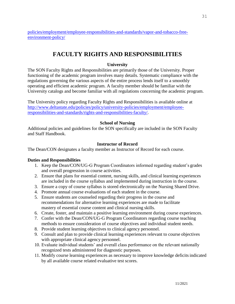[policies/employment/employee-responsibilities-and-standards/vapor-and-tobacco-free](http://www.deltastate.edu/policies/policy/university-policies/employment/employee-responsibilities-and-standards/vapor-and-tobacco-free-environment-policy/)[environment-policy/](http://www.deltastate.edu/policies/policy/university-policies/employment/employee-responsibilities-and-standards/vapor-and-tobacco-free-environment-policy/)

# **FACULTY RIGHTS AND RESPONSIBILITIES**

#### **University**

<span id="page-30-1"></span><span id="page-30-0"></span>The SON Faculty Rights and Responsibilities are primarily those of the University. Proper functioning of the academic program involves many details. Systematic compliance with the regulations governing the various aspects of the entire process lends itself to a smoothly operating and efficient academic program. A faculty member should be familiar with the University catalogs and become familiar with all regulations concerning the academic program.

The University policy regarding Faculty Rights and Responsibilities is available online at [http://www.deltastate.edu/policies/policy/university-policies/employment/employee](http://www.deltastate.edu/policies/policy/university-policies/employment/employee-responsibilities-and-standards/rights-and-responsibilities-faculty/)[responsibilities-and-standards/rights-and-responsibilities-faculty/.](http://www.deltastate.edu/policies/policy/university-policies/employment/employee-responsibilities-and-standards/rights-and-responsibilities-faculty/)

#### **School of Nursing**

<span id="page-30-2"></span>Additional policies and guidelines for the SON specifically are included in the SON Faculty and Staff Handbook.

#### **Instructor of Record**

<span id="page-30-3"></span>The Dean/CON designates a faculty member as Instructor of Record for each course.

#### **Duties and Responsibilities**

- 1. Keep the Dean/CON/UG-G Program Coordinators informed regarding student's grades and overall progression in course activities.
- 2. Ensure that plans for essential content, nursing skills, and clinical learning experiences are included in the course syllabus and implemented during instruction in the course.
- 3. Ensure a copy of course syllabus is stored electronically on the Nursing Shared Drive.
- 4. Promote annual course evaluations of each student in the course.
- 5. Ensure students are counseled regarding their progress in the course and recommendations for alternative learning experiences are made to facilitate mastery of essential course content and clinical nursing skills.
- 6. Create, foster, and maintain a positive learning environment during course experiences.
- 7. Confer with the Dean/CON/UG-G Program Coordinators regarding course teaching methods to ensure consideration of course objectives and individual student needs.
- 8. Provide student learning objectives to clinical agency personnel.
- 9. Consult and plan to provide clinical learning experiences relevant to course objectives with appropriate clinical agency personnel.
- 10. Evaluate individual students' and overall class performance on the relevant nationally recognized tests administered for diagnostic purposes.
- 11. Modify course learning experiences as necessary to improve knowledge deficitsindicated by all available course related evaluative test scores.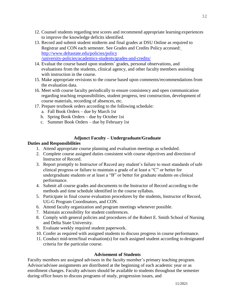- 12. Counsel students regarding test scores and recommend appropriate learning experiences to improve the knowledge deficits identified.
- 13. Record and submit student midterm and final grades at DSU Online as required to Registrar and CON each semester. See Grades and Credits Policy accessed: [http://www.deltastate.edu/policies/policy](http://www.deltastate.edu/policies/policy/university-policies/academics-students/grades-and-credits/) [/university-policies/academics-students/grades-and-credits/](http://www.deltastate.edu/policies/policy/university-policies/academics-students/grades-and-credits/)
- 14. Evaluat the course based upon students' grades, personal observations, and evaluations from the students, clinical agency, and other faculty members assisting with instruction in the course.
- 15. Make appropriate revisions to the course based upon comments/recommendations from the evaluation data.
- 16. Meet with course faculty periodically to ensure consistency and open communication regarding teaching responsibilities, student progress, test construction, development of course materials, recording of absences, etc.
- 17. Prepare textbook orders according to the following schedule:
	- a. Fall Book Orders due by March 1st
	- b. Spring Book Orders due by October 1st
	- c. Summer Book Orders due by February 1st

#### **Adjunct Faculty – Undergraduate/Graduate**

#### <span id="page-31-0"></span>**Duties and Responsibilities**

- 1. Attend appropriate course planning and evaluation meetings as scheduled.
- 2. Complete course assigned duties consistent with course objectives and direction of Instructor of Record.
- 3. Report promptly to Instructor of Record any student's failure to meet standards ofsafe clinical progress or failure to maintain a grade of at least a "C" or better for undergraduate students or at least a "B" or better for graduate students on clinical performance.
- 4. Submit all course grades and documents to the Instructor of Record according to the methods and time schedule identified in the course syllabus.
- 5. Participate in final course evaluation procedures by the students, Instructor of Record, UG-G Program Coordinators, and CON.
- 6. Attend faculty organization and program meetings whenever possible.
- 7. Maintain accessibility for student conferences.
- 8. Comply with general policies and procedures of the Robert E. Smith School of Nursing and Delta State University.
- 9. Evaluate weekly required student paperwork.
- 10. Confer as required with assigned students to discuss progress in course performance.
- 11. Conduct mid-term/final evaluation(s) for each assigned student according to designated criteria for the particular course.

#### **Advisement of Students**

<span id="page-31-1"></span>Faculty members are assigned advisees in the faculty member's primary teaching program. Advisor/advisee assignments are distributed at the beginning of each academic year or as enrollment changes. Faculty advisors should be available to students throughout the semester during office hours to discuss programs of study, progression issues, and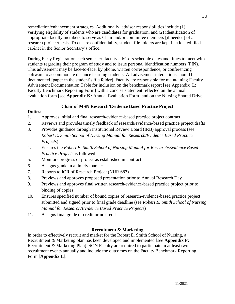remediation/enhancement strategies. Additionally, advisor responsibilities include (1) verifying eligibility of students who are candidates for graduation; and (2) identification of appropriate faculty members to serve as Chair and/or committee members [if needed] of a research project/thesis. To ensure confidentiality, student file folders are kept in a locked filed cabinet in the Senior Secretary's office.

During Early Registration each semester, faculty advisors schedule dates and times to meet with students regarding their program of study and to issue personal identification numbers (PIN). This advisement may be face-to-face, by phone, written correspondence, or conferencing software to accommodate distance learning students. All advisement interactions should be documented [paper in the student's file folder]. Faculty are responsible for maintaining Faculty Advisement Documentation Table for inclusion on the benchmark report [see Appendix L: Faculty Benchmark Reporting Form] with a concise statement reflected on the annual evaluation form [see **Appendix K:** Annual Evaluation Form] and on the Nursing Shared Drive.

#### **Chair of MSN Research/Evidence Based Practice Project**

#### <span id="page-32-0"></span>**Duties:**

- 1. Approves initial and final research/evidence-based practice project contract
- 2. Reviews and provides timely feedback of research/evidence-based practice project drafts
- 3. Provides guidance through Institutional Review Board (IRB) approval process (see *Robert E. Smith School of Nursing Manual for Research/Evidence Based Practice Projects*)
- 4. Ensures the *Robert E. Smith School of Nursing Manual for Research/Evidence Based Practice Projects* is followed
- 5. Monitors progress of project as established in contract
- 6. Assigns grade in a timely manner
- 7. Reports to IOR of Research Project (NUR 687)
- 8. Previews and approves proposed presentation prior to Annual Research Day
- 9. Previews and approves final written research/evidence-based practice project prior to binding of copies
- 10. Ensures specified number of bound copies of research/evidence-based practice project submitted and signed prior to final grade deadline (see *Robert E. Smith School of Nursing Manual for Research/Evidence Based Practice Projects*)
- 11. Assigns final grade of credit or no credit

#### **Recruitment & Marketing**

<span id="page-32-1"></span>In order to effectively recruit and market for the Robert E. Smith School of Nursing, a Recruitment & Marketing plan has been developed and implemented [see **Appendix F:**  Recruitment & Marketing Plan]. SON Faculty are required to participate in at least two recruitment events annually and include the outcomes on the Faculty Benchmark Reporting Form [**Appendix L**].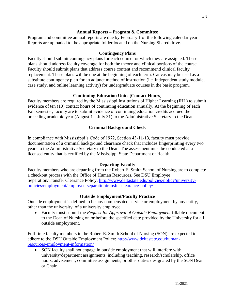#### **Annual Reports – Program & Committee**

<span id="page-33-0"></span>Program and committee annual reports are due by February 1 of the following calendar year. Reports are uploaded to the appropriate folder located on the Nursing Shared drive.

#### **Contingency Plans**

<span id="page-33-1"></span>Faculty should submit contingency plans for each course for which they are assigned. These plans should address faculty coverage for both the theory and clinical portions of the course. Faculty should submit plans that address course content and recommend clinical faculty replacement. These plans will be due at the beginning of each term. Canvas may be used as a substitute contingency plan for an adjunct method of instruction (i.e. independent study module, case study, and online learning activity) for undergraduate courses in the basic program.

#### **Continuing Education Units [Contact Hours]**

<span id="page-33-2"></span>Faculty members are required by the Mississippi Institutions of Higher Learning (IHL) to submit evidence of ten (10) contact hours of continuing education annually. At the beginning of each Fall semester, faculty are to submit evidence of continuing education credits accrued the preceding academic year (August 1 – July 31) to the Administrative Secretary to the Dean.

#### **Criminal Background Check**

<span id="page-33-3"></span>In compliance with Mississippi's Code of 1972, Section 43-11-13, faculty must provide documentation of a criminal background clearance check that includes fingerprinting every two years to the Administrative Secretary to the Dean. The assessment must be conducted at a licensed entity that is certified by the Mississippi State Department of Health.

#### **Departing Faculty**

<span id="page-33-4"></span>Faculty members who are departing from the Robert E. Smith School of Nursing are to complete a checkout process with the Office of Human Resources. See DSU Employee Separation/Transfer Clearance Policy: [http://www.deltastate.edu/policies/policy/university](http://www.deltastate.edu/policies/policy/university-policies/employment/employee-separationtransfer-clearance-policy/)[policies/employment/employee-separationtransfer-clearance-policy/](http://www.deltastate.edu/policies/policy/university-policies/employment/employee-separationtransfer-clearance-policy/)

#### **Outside Employment/Faculty Practice**

<span id="page-33-5"></span>Outside employment is defined to be any compensated service or employment by any entity, other than the university, of a university employee.

• Faculty must submit the *Request for Approval of Outside Employment* fillable document to the Dean of Nursing on or before the specified date provided by the University for all outside employment.

Full-time faculty members in the Robert E. Smith School of Nursing (SON) are expected to adhere to the DSU Outside Employment Policy: [http://www.deltastate.edu/human](http://www.deltastate.edu/human-resources/employment-information/)[resources/employment-information/](http://www.deltastate.edu/human-resources/employment-information/)

• SON faculty shall not engage in outside employment that will interfere with university/department assignments, including teaching, research/scholarship, office hours, advisement, committee assignments, or other duties designated by the SON Dean or Chair.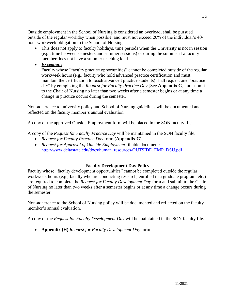Outside employment in the School of Nursing is considered an overload, shall be pursued outside of the regular workday when possible, and must not exceed 20% of the individual's 40 hour workweek obligation to the School of Nursing.

- This does not apply to faculty holidays, time periods when the University is not in session (e.g., time between semesters and summer sessions) or during the summer if a faculty member does not have a summer teaching load.
- *Exception:*

Faculty whose "faculty practice opportunities" cannot be completed outside of the regular workweek hours (e.g., faculty who hold advanced practice certification and must maintain the certification to teach advanced practice students) shall request one "practice day" by completing the *Request for Faculty Practice Day* [See **Appendix G**] and submit to the Chair of Nursing no later than two weeks after a semester begins or at any time a change in practice occurs during the semester.

Non-adherence to university policy and School of Nursing guidelines will be documented and reflected on the faculty member's annual evaluation.

A copy of the approved Outside Employment form will be placed in the SON faculty file.

A copy of the *Request for Faculty Practice Day* will be maintained in the SON faculty file.

- *Request for Faculty Practice Day* form (**Appendix G**)
- *Request for Approval of Outside Employment* fillable document: [http://www.deltastate.edu/docs/human\\_resources/OUTSIDE\\_EMP\\_DSU.pdf](http://www.deltastate.edu/docs/human_resources/OUTSIDE_EMP_DSU.pdf)

#### **Faculty Development Day Policy**

<span id="page-34-0"></span>Faculty whose "faculty development opportunities" cannot be completed outside the regular workweek hours (e.g., faculty who are conducting research, enrolled in a graduate program, etc.) are required to complete the *Request for Faculty Development Day* form and submit to the Chair of Nursing no later than two weeks after a semester begins or at any time a change occurs during the semester.

Non-adherence to the School of Nursing policy will be documented and reflected on the faculty member's annual evaluation.

A copy of the *Request for Faculty Development Day* will be maintained in the SON faculty file.

• **Appendix (H)** *Request for Faculty Development Day* form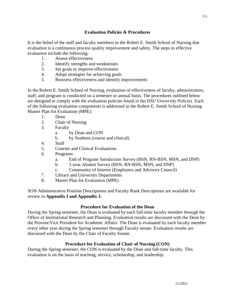#### **Evaluation Policies & Procedures**

<span id="page-35-0"></span>It is the belief of the staff and faculty members in the Robert E. Smith School of Nursing that evaluation is a continuous process quality improvement and safety. The steps in effective evaluation include the following:

- 1. Assess effectiveness
- 2. Identify strengths and weaknesses
- 3. Set goals to improve effectiveness
- 4. Adopt strategies for achieving goals
- 5. Reassess effectiveness and identify improvements

In the Robert E. Smith School of Nursing, evaluation of effectiveness of faculty, administrators, staff, and program is conducted on a semester or annual basis. The procedures outlined below are designed to comply with the evaluation policies found in the *DSU University Policies*. Each of the following evaluation components is addressed in the Robert E. Smith School of Nursing Master Plan for Evaluation (MPE):

- 1. Dean
- 2. Chair of Nursing
- 3. Faculty
	- a. by Dean and CON
	- b. by Students (course and clinical)
- 4. Staff
- 5. Courses and Clinical Evaluations
- 6. Programs
	- a. End of Program Satisfaction Survey (BSN, RN-BSN, MSN, and DNP)
	- b. 1-year Alumni Survey (BSN, RN-BSN, MSN, and DNP)
	- c. Community of Interest (Employers and Advisory Council)
- 7. Library and University Departments
- 8. Master Plan for Evaluation (MPE)

SON Administrative Position Descriptions and Faculty Rank Descriptions are available for review in **Appendix I and Appendix J.**

#### **Procedure for Evaluation of the Dean**

<span id="page-35-1"></span>During the Spring semester, the Dean is evaluated by each full-time faculty member through the Office of Institutional Research and Planning. Evaluation results are discussed with the Dean by the Provost/Vice President for Academic Affairs. The Dean is evaluated by each faculty member every other year during the Spring semester through Faculty senate. Evaluation results are discussed with the Dean by the Chair of Faculty Senate.

#### **Procedure for Evaluation of Chair of Nursing (CON)**

<span id="page-35-2"></span>During the Spring semester, the CON is evaluated by the Dean and full-time faculty. This evaluation is on the basis of teaching, service, scholarship, and leadership.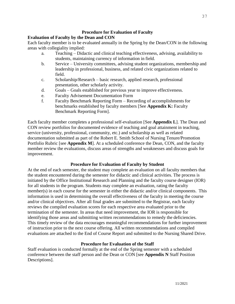# **Procedure for Evaluation of Faculty**

# **Evaluation of Faculty by the Dean and CON**

Each faculty member is to be evaluated annually in the Spring by the Dean/CON in the following areas with collegiality implied:

- a. Teaching Didactic and clinical teaching effectiveness, advising, availability to students, maintaining currency of information in field.
- b. Service University committees, advising student organizations, membership and leadership in professional, business, and related civic organizations related to field.
- c. Scholarship/Research basic research, applied research, professional presentation, other scholarly activity.
- d. Goals Goals established for previous year to improve effectiveness.
- e. Faculty Advisement Documentation Form
- f. Faculty Benchmark Reporting Form Recording of accomplishments for benchmarks established by faculty members [See **Appendix K:** Faculty Benchmark Reporting Form].

Each faculty member completes a professional self-evaluation [See **Appendix L**]. The Dean and CON review portfolios for documented evidence of teaching and goal attainment in teaching, service (university, professional, community, etc.) and scholarship as well as related documentation submitted as part of the Robert E. Smith School of Nursing Tenure/Promotion Portfolio Rubric [see **Appendix M**]. At a scheduled conference the Dean, CON, and the faculty member review the evaluations, discuss areas of strengths and weaknesses and discuss goals for improvement.

# **Procedure for Evaluation of Faculty by Student**

At the end of each semester, the student may complete an evaluation on all faculty members that the student encountered during the semester for didactic and clinical activities. The process is initiated by the Office Institutional Research and Planning and the faculty course designer (IOR) for all students in the program. Students may complete an evaluation, rating the faculty member(s) in each course for the semester in either the didactic and/or clinical components. This information is used in determining the overall effectiveness of the faculty in meeting the course and/or clinical objectives. After all final grades are submitted to the Registrar, each faculty reviews the compiled evaluation scores for each respective area evaluated prior to the termination of the semester. In areas that need improvement, the IOR is responsible for identifying those areas and submitting written recommendations to remedy the deficiencies. This timely review of the data encourages meaningful recommendations for further improvement of instruction prior to the next course offering. All written recommendations and compiled evaluations are attached to the End of Course Report and submitted to the Nursing Shared Drive.

# **Procedure for Evaluation of the Staff**

Staff evaluation is conducted formally at the end of the Spring semester with a scheduled conference between the staff person and the Dean or CON [see **Appendix N** Staff Position Descriptions].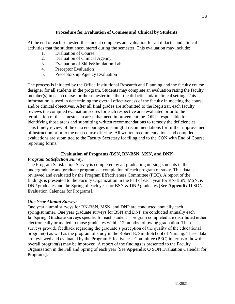## **Procedure for Evaluation of Courses and Clinical by Students**

At the end of each semester, the student completes an evaluation for all didactic and clinical activities that the student encountered during the semester. This evaluation may include:

- 1. Evaluation of Course
- 2. Evaluation of Clinical Agency
- 3. Evaluation of Skills/Simulation Lab
- 4. Preceptor Evaluation
- 5. Preceptorship Agency Evaluation

The process is initiated by the Office Institutional Research and Planning and the faculty course designer for all students in the program. Students may complete an evaluation rating the faculty member(s) in each course for the semester in either the didactic and/or clinical setting. This information is used in determining the overall effectiveness of the faculty in meeting the course and/or clinical objectives. After all final grades are submitted to the Registrar, each faculty reviews the compiled evaluation scores for each respective area evaluated prior to the termination of the semester. In areas that need improvement the IOR is responsible for identifying those areas and submitting written recommendations to remedy the deficiencies. This timely review of the data encourages meaningful recommendations for further improvement of instruction prior to the next course offering. All written recommendations and compiled evaluations are submitted to the Faculty Secretary for filing and to the CON with End of Course reporting forms.

## **Evaluation of Programs (BSN, RN-BSN, MSN, and DNP)**

#### *Program Satisfaction Survey:*

The Program Satisfaction Survey is completed by all graduating nursing students in the undergraduate and graduate programs at completion of each program of study. This data is reviewed and evaluated by the Program Effectiveness Committee (PEC). A report of the findings is presented to the Faculty Organization in the Fall of each year for RN-BSN, MSN, & DNP graduates and the Spring of each year for BSN & DNP graduates [See **Appendix O** SON Evaluation Calendar for Programs].

#### *One Year Alumni Survey:*

One year alumni surveys for RN-BSN, MSN, and DNP are conducted annually each spring/summer. One year graduate surveys for BSN and DNP are conducted annually each fall/spring. Graduate surveys specific for each student's program completed are distributed either electronically or mailed to those graduates within 12 months following graduation. These surveys provide feedback regarding the graduate's perception of the quality of the educational program(s) as well as the program of study in the Robert E. Smith School of Nursing. These data are reviewed and evaluated by the Program Effectiveness Committee (PEC) in terms of how the overall program(s) may be improved. A report of the findings is presented to the Faculty Organization in the Fall and Spring of each year [See **Appendix O** SON Evaluation Calendar for Programs].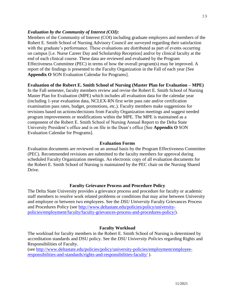## *Evaluation by the Community of Interest (COI):*

Members of the Community of Interest (COI) including graduate employers and members of the Robert E. Smith School of Nursing Advisory Council are surveyed regarding their satisfaction with the graduate's performance. These evaluations are distributed as part of events occurring on campus [i.e. Nurse Career Day and Scholarship Reception] and/or by clinical faculty at the end of each clinical course. These data are reviewed and evaluated by the Program Effectiveness Committee (PEC) in terms of how the overall program(s) may be improved. A report of the findings is presented to the Faculty Organization in the Fall of each year [See **Appendix O** SON Evaluation Calendar for Programs].

## **Evaluation of the Robert E. Smith School of Nursing (Master Plan for Evaluation – MPE)**

In the Fall semester, faculty members review and revise the Robert E. Smith School of Nursing Master Plan for Evaluation (MPE) which includes all evaluation data for the calendar year (including 1-year evaluation data, NCLEX-RN first write pass rate and/or certification examination pass rates, budget, promotions, etc.). Faculty members make suggestions for revisions based on actions/decisions from Faculty Organization meetings and suggest needed program improvements or modifications within the MPE. The MPE is maintained as a component of the Robert E. Smith School of Nursing Annual Report to the Delta State University President's office and is on file in the Dean's office [See **Appendix O** SON Evaluation Calendar for Programs].

## **Evaluation Forms**

Evaluation documents are reviewed on an annual basis by the Program Effectiveness Committee (PEC). Recommended revisions are submitted to the faculty members for approval during scheduled Faculty Organization meetings. An electronic copy of all evaluation documents for the Robert E. Smith School of Nursing is maintained by the PEC chair on the Nursing Shared Drive.

## **Faculty Grievance Process and Procedure Policy**

The Delta State University provides a grievance process and procedure for faculty or academic staff members to resolve work related problems or conditions that may arise between University and employee or between two employees. See the *DSU University* Faculty Grievances Process and Procedures Policy (see [http://www.deltastate.edu/policies/policy/university](http://www.deltastate.edu/policies/policy/university-policies/employment/faculty/faculty-grievances-process-and-procedures-policy/)[policies/employment/faculty/faculty-grievances-process-and-procedures-policy/\)](http://www.deltastate.edu/policies/policy/university-policies/employment/faculty/faculty-grievances-process-and-procedures-policy/).

## **Faculty Workload**

The workload for faculty members in the Robert E. Smith School of Nursing is determined by accreditation standards and DSU policy. See the *DSU University Policies* regarding Rights and Responsibilities of Faculty.

(see [http://www.deltastate.edu/policies/policy/university-policies/employment/employee](http://www.deltastate.edu/policies/policy/university-policies/employment/employee-responsibilities-and-standards/rights-and-responsibilities-faculty/)[responsibilities-and-standards/rights-and-responsibilities-faculty/](http://www.deltastate.edu/policies/policy/university-policies/employment/employee-responsibilities-and-standards/rights-and-responsibilities-faculty/) ).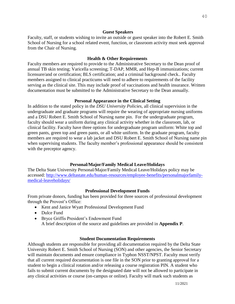Faculty, staff, or students wishing to invite an outside or guest speaker into the Robert E. Smith School of Nursing for a school related event, function, or classroom activity must seek approval from the Chair of Nursing.

#### **Health & Other Requirements**

Faculty members are required to provide to the Administrative Secretary to the Dean proof of annual TB skin testing; Varicella screening; T-DAP, MMR, and Hep-B immunizations; current licensure/and or certification; BLS certification; and a criminal background check.. Faculty members assigned to clinical practicums will need to adhere to requirements of the facility serving as the clinical site. This may include proof of vaccinations and health insurance. Written documentation must be submitted to the Administrative Secretary to the Dean annually.

#### **Personal Appearance in the Clinical Setting**

In addition to the stated policy in the *DSU University Policies*, all clinical supervision in the undergraduate and graduate programs will require the wearing of appropriate nursing uniforms and a DSU Robert E. Smith School of Nursing name pin. For the undergraduate program, faculty should wear a uniform during any clinical activity whether in the classroom, lab, or clinical facility. Faculty have three options for undergraduate program uniform: White top and green pants, green top and green pants, or all white uniform. In the graduate program, faculty members are required to wear a lab jacket and DSU Robert E. Smith School of Nursing name pin when supervising students. The faculty member's professional appearance should be consistent with the preceptor agency.

#### **Personal/Major/Family Medical Leave/Holidays**

The Delta State University Personal/Major/Family Medical Leave/Holidays policy may be accessed: [http://www.deltastate.edu/human-resources/employee-benefits/personalmajorfamily](http://www.deltastate.edu/human-resources/employee-benefits/personalmajorfamily-medical-leaveholidays/)[medical-leaveholidays/](http://www.deltastate.edu/human-resources/employee-benefits/personalmajorfamily-medical-leaveholidays/)

#### **Professional Development Funds**

From private donors, funding has been provided for three sources of professional development through the Provost's Office:

- Kent and Janice Wyatt Professional Development Fund
- Dulce Fund
- Bryce Griffis President's Endowment Fund

A brief description of the source and guidelines are provided in **Appendix P**.

#### **Student Documentation Requirements**

Although students are responsible for providing all documentation required by the Delta State University Robert E. Smith School of Nursing (SON) and other agencies, the Senior Secretary will maintain documents and ensure compliance in Typhon NSST/NPST. Faculty must verify that all current required documentation is one file in the SON prior to granting approval for a student to begin a clinical rotation and/or releasing a course registration PIN. A student who fails to submit current documents by the designated date will not be allowed to participate in any clinical activities or course (on-campus or online). Faculty will mark such students as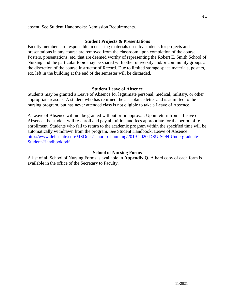#### absent. See Student Handbooks: Admission Requirements.

#### **Student Projects & Presentations**

Faculty members are responsible in ensuring materials used by students for projects and presentations in any course are removed from the classroom upon completion of the course. Posters, presentations, etc. that are deemed worthy of representing the Robert E. Smith School of Nursing and the particular topic may be shared with other university and/or community groups at the discretion of the course Instructor of Record. Due to limited storage space materials, posters, etc. left in the building at the end of the semester will be discarded.

#### **Student Leave of Absence**

Students may be granted a Leave of Absence for legitimate personal, medical, military, or other appropriate reasons. A student who has returned the acceptance letter and is admitted to the nursing program, but has never attended class is not eligible to take a Leave of Absence.

A Leave of Absence will not be granted without prior approval. Upon return from a Leave of Absence, the student will re-enroll and pay all tuition and fees appropriate for the period of reenrollment. Students who fail to return to the academic program within the specified time will be automatically withdrawn from the program. See Student Handbook: Leave of Absence [http://www.deltastate.edu/MSDocs/school-of-nursing/2019-2020-DSU-SON-Undergraduate-](http://www.deltastate.edu/MSDocs/school-of-nursing/2019-2020-DSU-SON-Undergraduate-Student-Handbook.pdf)[Student-Handbook.pdf](http://www.deltastate.edu/MSDocs/school-of-nursing/2019-2020-DSU-SON-Undergraduate-Student-Handbook.pdf)

#### **School of Nursing Forms**

A list of all School of Nursing Forms is available in **Appendix Q.** A hard copy of each form is available in the office of the Secretary to Faculty.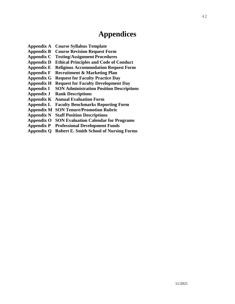# **Appendices**

- **Appendix A Course Syllabus Template**
- **Appendix B Course Revision Request Form**
- **Appendix C Testing/Assignment Procedures**
- **Appendix D Ethical Principles and Code of Conduct**
- **Appendix E Religious Accommodation Request Form**
- **Appendix F Recruitment & Marketing Plan**
- **Appendix G Request for Faculty Practice Day**
- **Appendix H Request for Faculty Development Day**
- **Appendix I SON Administration Position Descriptions**
- **Appendix J Rank Descriptions**
- **Appendix K Annual Evaluation Form**
- **Appendix L Faculty Benchmarks Reporting Form**
- **Appendix M SON Tenure/Promotion Rubric**
- **Appendix N Staff Position Descriptions**
- **Appendix O SON Evaluation Calendar for Programs**
- **Appendix P Professional Development Funds**
- **Appendix Q Robert E. Smith School of Nursing Forms**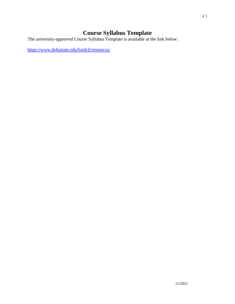# **Course Syllabus Template**

The university-approved Course Syllabus Template is available at the link below:

<https://www.deltastate.edu/fordctl/resources/>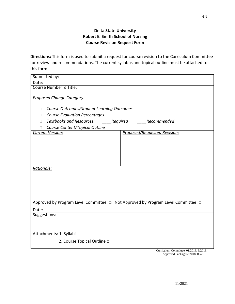# **Delta State University Robert E. Smith School of Nursing Course Revision Request Form**

**Directions:** This form is used to submit a request for course revision to the Curriculum Committee for review and recommendations. The current syllabus and topical outline must be attached to this form.

| Submitted by:                                                                     |                              |
|-----------------------------------------------------------------------------------|------------------------------|
| Date:                                                                             |                              |
| Course Number & Title:                                                            |                              |
|                                                                                   |                              |
| Proposed Change Category:                                                         |                              |
| Course Outcomes/Student Learning Outcomes<br>O.                                   |                              |
|                                                                                   |                              |
| <b>Course Evaluation Percentages</b><br>□                                         |                              |
| <b>Textbooks and Resources:</b><br>____Required<br>П                              | Recommended                  |
| Course Content/Topical Outline<br><b>Current Version:</b>                         | Proposed/Requested Revision: |
|                                                                                   |                              |
|                                                                                   |                              |
|                                                                                   |                              |
|                                                                                   |                              |
|                                                                                   |                              |
|                                                                                   |                              |
| Rationale:                                                                        |                              |
|                                                                                   |                              |
|                                                                                   |                              |
|                                                                                   |                              |
|                                                                                   |                              |
| Approved by Program Level Committee: □ Not Approved by Program Level Committee: □ |                              |
| Date:                                                                             |                              |
| Suggestions:                                                                      |                              |
|                                                                                   |                              |
|                                                                                   |                              |
| Attachments: 1. Syllabi □                                                         |                              |
| 2. Course Topical Outline $\Box$                                                  |                              |
|                                                                                   |                              |

Curriculum Committee, 01/2018, 9/2018; Approved FacOrg 02/2018, 09/2018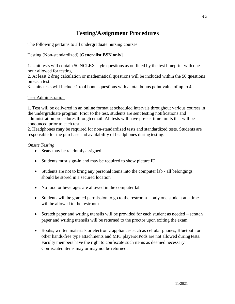# **Testing/Assignment Procedures**

The following pertains to all undergraduate nursing courses:

## Testing (Non-standardized) **[Generalist BSN only]**

1. Unit tests will contain 50 NCLEX-style questions as outlined by the test blueprint with one hour allowed for testing.

2. At least 2 drug calculation or mathematical questions will be included within the 50 questions on each test.

3. Units tests will include 1 to 4 bonus questions with a total bonus point value of up to 4.

## Test Administration

1. Test will be delivered in an online format at scheduled intervals throughout various courses in the undergraduate program. Prior to the test, students are sent testing notifications and administration procedures through email. All tests will have pre-set time limits that will be announced prior to each test.

2. Headphones **may** be required for non-standardized tests and standardized tests. Students are responsible for the purchase and availability of headphones during testing.

## *Onsite Testing*

- Seats may be randomly assigned
- Students must sign-in and may be required to show picture ID
- Students are not to bring any personal items into the computer lab all belongings should be stored in a secured location
- No food or beverages are allowed in the computer lab
- Students will be granted permission to go to the restroom only one student at a time will be allowed to the restroom
- Scratch paper and writing utensils will be provided for each student as needed scratch paper and writing utensils will be returned to the proctor upon exiting the exam
- Books, written materials or electronic appliances such as cellular phones, Bluetooth or other hands-free type attachments and MP3 players/iPods are not allowed during tests. Faculty members have the right to confiscate such items as deemed necessary. Confiscated items may or may not be returned.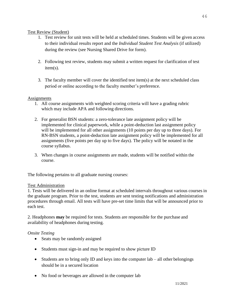## Test Review (Student)

- 1. Test review for unit tests will be held at scheduled times. Students will be given access to their individual results report and the *Individual Student Test Analysis* (if utilized) during the review (see Nursing Shared Drive for form).
- 2. Following test review, students may submit a written request for clarification of test item(s).
- 3. The faculty member will cover the identified test item(s) at the next scheduled class period or online according to the faculty member's preference.

## Assignments

- 1. All course assignments with weighted scoring criteria will have a grading rubric which may include APA and following directions.
- 2. For generalist BSN students: a zero-tolerance late assignment policy will be implemented for clinical paperwork, while a point-deduction last assignment policy will be implemented for all other assignments (10 points per day up to three days). For RN-BSN students, a point-deduction late assignment policy will be implemented for all assignments (five points per day up to five days). The policy will be notated in the course syllabus.
- 3. When changes in course assignments are made, students will be notified within the course.

The following pertains to all graduate nursing courses:

## Test Administration

1. Tests will be delivered in an online format at scheduled intervals throughout various courses in the graduate program. Prior to the test, students are sent testing notifications and administration procedures through email. All tests will have pre-set time limits that will be announced prior to each test.

2. Headphones **may** be required for tests. Students are responsible for the purchase and availability of headphones during testing.

# *Onsite Testing*

- Seats may be randomly assigned
- Students must sign-in and may be required to show picture ID
- Students are to bring only ID and keys into the computer lab all other belongings should be in a secured location
- No food or beverages are allowed in the computer lab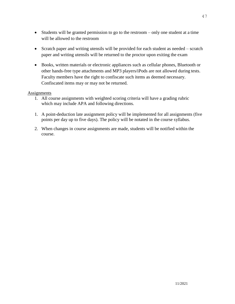- Students will be granted permission to go to the restroom only one student at a time will be allowed to the restroom
- Scratch paper and writing utensils will be provided for each student as needed scratch paper and writing utensils will be returned to the proctor upon exiting the exam
- Books, written materials or electronic appliances such as cellular phones, Bluetooth or other hands-free type attachments and MP3 players/iPods are not allowed during tests. Faculty members have the right to confiscate such items as deemed necessary. Confiscated items may or may not be returned.

## **Assignments**

- 1. All course assignments with weighted scoring criteria will have a grading rubric which may include APA and following directions.
- 1. A point-deduction late assignment policy will be implemented for all assignments (five points per day up to five days). The policy will be notated in the course syllabus.
- 2. When changes in course assignments are made, students will be notified within the course.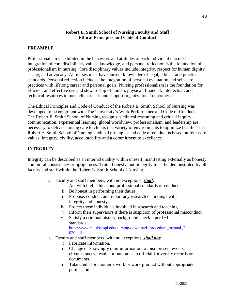## **Robert E. Smith School of Nursing Faculty and Staff Ethical Principles and Code of Conduct**

#### **PREAMBLE**

Professionalism is exhibited in the behaviors and attitudes of each individual nurse. The integration of core disciplinary values, knowledge, and personal reflection is the foundation of professionalism in nursing. Core disciplinary values include integrity, respect for human dignity, caring, and advocacy. All nurses must have current knowledge of legal, ethical, and practice standards. Personal reflection includes the integration of personal evaluation and self-care practices with lifelong career and personal goals. Nursing professionalism is the foundation for efficient and effective use and stewardship of human, physical, financial, intellectual, and technical resources to meet client needs and support organizational outcomes.

The Ethical Principles and Code of Conduct of the Robert E. Smith School of Nursing was developed to be congruent with The University's Work Performance and Code of Conduct. The Robert E. Smith School of Nursing recognizes clinical reasoning and critical inquiry, communication, experiential learning, global worldview, professionalism, and leadership are necessary to deliver nursing care to clients in a variety of environments to optimize health. The Robert E. Smith School of Nursing's ethical principles and code of conduct is based on four core values: integrity, civility, accountability and a commitment to excellence.

## **INTEGRITY**

Integrity can be described as an internal quality within oneself, manifesting externally as honesty and moral consistency or uprightness. Truth, honesty, and integrity must be demonstrated by all faculty and staff within the Robert E. Smith School of Nursing.

- a. Faculty and staff members, with no exceptions, *shall*:
	- i. Act with high ethical and professional standards of conduct.
	- ii. Be honest in performing their duties.
	- iii. Propose, conduct, and report any research or findings with integrity and honesty.
	- iv. Protect those individuals involved in research and teaching.
	- v. Inform their supervisors if there is suspicion of professional misconduct.
	- vi. Satisfy a criminal history background check per IHL standards. [http://www.mississippi.edu/nursing/downloads/procedure\\_manual\\_2](http://www.mississippi.edu/nursing/downloads/procedure_manual_2020.pdf)

[020.pdf](http://www.mississippi.edu/nursing/downloads/procedure_manual_2020.pdf)

- b. Faculty and staff members, with no exceptions, *shall not*:
	- i. Fabricate information.
	- ii. Change or knowingly omit information to misrepresent events, circumstances, results or outcomes in official University records or documents.
	- iii. Take credit for another's work or work product without appropriate permission.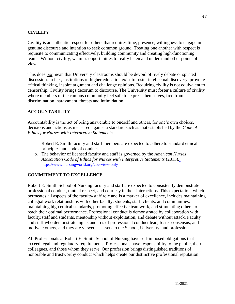#### **CIVILITY**

Civility is an authentic respect for others that requires time, presence, willingness to engage in genuine discourse and intention to seek common ground. Treating one another with respect is requisite to communicating effectively, building community and creating high-functioning teams. Without civility, we miss opportunities to really listen and understand other points of view.

This does *not* mean that University classrooms should be devoid of lively debate or spirited discussion. In fact, institutions of higher education exist to foster intellectual discovery, provoke critical thinking, inspire argument and challenge opinions. Requiring civility is not equivalent to censorship. Civility brings decorum to discourse. The University must foster a culture of civility where members of the campus community feel safe to express themselves, free from discrimination, harassment, threats and intimidation.

#### **ACCOUNTABILITY**

Accountability is the act of being answerable to oneself and others, for one's own choices, decisions and actions as measured against a standard such as that established by the *Code of Ethics for Nurses with Interpretive Statements.*

- a. Robert E. Smith faculty and staff members are expected to adhere to standard ethical principles and code of conduct.
- b. The behavior of licensed faculty and staff is governed by the *American Nurses Association Code of Ethics for Nurses with Interpretive Statements* (2015)*.* <https://www.nursingworld.org/coe-view-only>

#### **COMMITMENT TO EXCELLENCE**

Robert E. Smith School of Nursing faculty and staff are expected to consistently demonstrate professional conduct, mutual respect, and courtesy in their interactions. This expectation, which permeates all aspects of the faculty/staff role and is a marker of excellence, includes maintaining collegial work relationships with other faculty, students, staff, clients, and communities, maintaining high ethical standards, promoting effective teamwork, and stimulating others to reach their optimal performance. Professional conduct is demonstrated by collaboration with faculty/staff and students, mentorship without exploitation, and debate without attack. Faculty and staff who demonstrate high standards of professional conduct lead, foster consensus, and motivate others, and they are viewed as assets to the School, University, and profession.

All Professionals at Robert E. Smith School of Nursing have self-imposed obligations that exceed legal and regulatory requirements. Professionals have responsibility to the public, their colleagues, and those whom they serve. Our profession brings distinguished traditions of honorable and trustworthy conduct which helps create our distinctive professional reputation.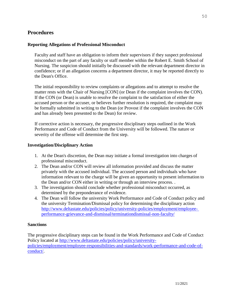# **Procedures**

## **Reporting Allegations of Professional Misconduct**

Faculty and staff have an obligation to inform their supervisors if they suspect professional misconduct on the part of any faculty or staff member within the Robert E. Smith School of Nursing. The suspicion should initially be discussed with the relevant department director in confidence; or if an allegation concerns a department director, it may be reported directly to the Dean's Office.

The initial responsibility to review complaints or allegations and to attempt to resolve the matter rests with the Chair of Nursing [CON] (or Dean if the complaint involves the CON). If the CON (or Dean) is unable to resolve the complaint to the satisfaction of either the accused person or the accuser, or believes further resolution is required, the complaint may be formally submitted in writing to the Dean (or Provost if the complaint involves the CON and has already been presented to the Dean) for review.

If corrective action is necessary, the progressive disciplinary steps outlined in the Work Performance and Code of Conduct from the University will be followed. The nature or severity of the offense will determine the first step.

## **Investigation/Disciplinary Action**

- 1. At the Dean's discretion, the Dean may initiate a formal investigation into charges of professional misconduct.
- 2. The Dean and/or CON will review all information provided and discuss the matter privately with the accused individual. The accused person and individuals who have information relevant to the charge will be given an opportunity to present information to the Dean and/or CON either in writing or through an interview process. .
- 3. The investigation should conclude whether professional misconduct occurred, as determined by the preponderance of evidence.
- 4. The Dean will follow the university Work Performance and Code of Conduct policy and the university Termination/Dismissal policy for determining the disciplinary action [http://www.deltastate.edu/policies/policy/university-policies/employment/employee](http://www.deltastate.edu/policies/policy/university-policies/employment/employee-performance-grievance-and-dismissal/terminationdismissal-non-faculty/)[performance-grievance-and-dismissal/terminationdismissal-non-faculty/](http://www.deltastate.edu/policies/policy/university-policies/employment/employee-performance-grievance-and-dismissal/terminationdismissal-non-faculty/)

## **Sanctions**

The progressive disciplinary steps can be found in the Work Performance and Code of Conduct Policy located at [http://www.deltastate.edu/policies/policy/university](http://www.deltastate.edu/policies/policy/university-policies/employment/employee-responsibilities-and-standards/work-performance-and-code-of-conduct/)[policies/employment/employee-responsibilities-and-standards/work-performance-and-code-of](http://www.deltastate.edu/policies/policy/university-policies/employment/employee-responsibilities-and-standards/work-performance-and-code-of-conduct/)[conduct/.](http://www.deltastate.edu/policies/policy/university-policies/employment/employee-responsibilities-and-standards/work-performance-and-code-of-conduct/)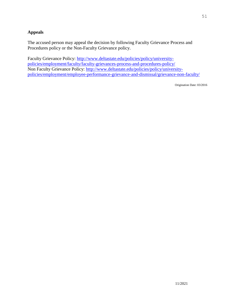# **Appeals**

The accused person may appeal the decision by following Faculty Grievance Process and Procedures policy or the Non-Faculty Grievance policy.

Faculty Grievance Policy: [http://www.deltastate.edu/policies/policy/university](http://www.deltastate.edu/policies/policy/university-policies/employment/faculty/faculty-grievances-process-and-procedures-policy/)[policies/employment/faculty/faculty-grievances-process-and-procedures-policy/](http://www.deltastate.edu/policies/policy/university-policies/employment/faculty/faculty-grievances-process-and-procedures-policy/) Non Faculty Grievance Policy: [http://www.deltastate.edu/policies/policy/university](http://www.deltastate.edu/policies/policy/university-policies/employment/employee-performance-grievance-and-dismissal/grievance-non-faculty/)[policies/employment/employee-performance-grievance-and-dismissal/grievance-non-faculty/](http://www.deltastate.edu/policies/policy/university-policies/employment/employee-performance-grievance-and-dismissal/grievance-non-faculty/)

Origination Date: 03/2016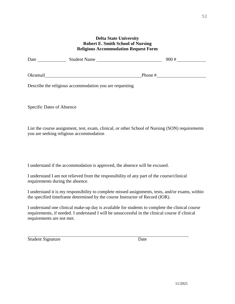#### **Delta State University Robert E. Smith School of Nursing Religious Accommodation Request Form**

| Date     | <b>Student Name</b><br><u> 1989 - John Stone, Amerikaans en Stone (</u> |         | 900# |
|----------|-------------------------------------------------------------------------|---------|------|
| Okramail |                                                                         | Phone # |      |
|          | Describe the religious accommodation you are requesting                 |         |      |

Specific Dates of Absence

List the course assignment, test, exam, clinical, or other School of Nursing (SON) requirements you are seeking religious accommodation

I understand if the accommodation is approved, the absence will be excused.

I understand I am not relieved from the responsibility of any part of the course/clinical requirements during the absence.

I understand it is my responsibility to complete missed assignments, tests, and/or exams, within the specified timeframe determined by the course Instructor of Record (IOR).

I understand one clinical make-up day is available for students to complete the clinical course requirements, if needed. I understand I will be unsuccessful in the clinical course if clinical requirements are not met.

Student Signature Date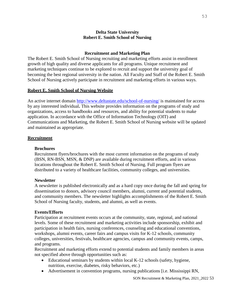## **Delta State University Robert E. Smith School of Nursing**

#### **Recruitment and Marketing Plan**

The Robert E. Smith School of Nursing recruiting and marketing efforts assist in enrollment growth of high quality and diverse applicants for all programs. Unique recruitment and marketing techniques continue to be explored to recruit and support the university goal of becoming the best regional university in the nation. All Faculty and Staff of the Robert E. Smith School of Nursing actively participate in recruitment and marketing efforts in various ways.

#### **Robert E. Smith School of Nursing Website**

An active internet domain<http://www.deltastate.edu/school-of-nursing/> is maintained for access by any interested individual**.** This website provides information on the programs of study and organizations, access to handbooks and resources, and ability for potential students to make application. In accordance with the Office of Information Technology (OIT) and Communications and Marketing, the Robert E. Smith School of Nursing website will be updated and maintained as appropriate.

#### **Recruitment**

#### **Brochures**

Recruitment flyers/brochures with the most current information on the programs of study (BSN, RN-BSN, MSN, & DNP) are available during recruitment efforts, and in various locations throughout the Robert E. Smith School of Nursing. Full program flyers are distributed to a variety of healthcare facilities, community colleges, and universities.

#### **Newsletter**

A newsletter is published electronically and as a hard copy once during the fall and spring for dissemination to donors, advisory council members, alumni, current and potential students, and community members. The newsletter highlights accomplishments of the Robert E. Smith School of Nursing faculty, students, and alumni, as well as events.

#### **Events/Efforts**

Participation at recruitment events occurs at the community, state, regional, and national levels. Some of these recruitment and marketing activities include sponsorship, exhibit and participation in health fairs, nursing conferences, counseling and educational conventions, workshops, alumni events, career fairs and campus visits for K-12 schools, community colleges, universities, festivals, healthcare agencies, campus and community events, camps, and programs.

Recruitment and marketing efforts extend to potential students and family members in areas not specified above through opportunities such as:

- Educational seminars by students within local K-12 schools (safety, hygiene, nutrition, exercise, diabetes, risky behaviors, etc.)
- Advertisement in convention programs, nursing publications [i.e. Mississippi RN,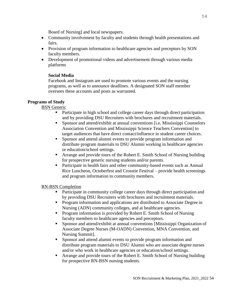Board of Nursing] and local newspapers.

- Community involvement by faculty and students through health presentations and fairs.
- Provision of program information to healthcare agencies and preceptors by SON faculty members.
- Development of promotional videos and advertisement through various media platforms

## **Social Media**

Facebook and Instagram are used to promote various events and the nursing programs, as well as to announce deadlines. A designated SON staff member oversees these accounts and posts as warranted.

## **Programs of Study**

BSN Generic

- Participate in high school and college career days through direct participation and by providing DSU Recruiters with brochures and recruitment materials.
- Sponsor and attend/exhibit at annual conventions [i.e. Mississippi Counselors Association Convention and Mississippi Science Teachers Convention] to target audiences that have direct contact/influence in student career choices.
- **•** Sponsor and attend alumni events to provide program information and distribute program materials to DSU Alumni working in healthcare agencies or education/school settings.
- Arrange and provide tours of the Robert E. Smith School of Nursing building for prospective generic nursing students and/or parents.
- **•** Participate in health fairs and other community-based events such as Annual Rice Luncheon, Octoberfest and Crosstie Festival – provide health screenings and program information to community members.

# RN-BSN Completion

- **•** Participate in community college career days through direct participation and by providing DSU Recruiters with brochures and recruitment materials.
- **•** Program information and applications are distributed to Associate Degree in Nursing (ADN) community colleges, and at healthcare agencies.
- **•** Program information is provided by Robert E. Smith School of Nursing faculty members to healthcare agencies and preceptors.
- Sponsor and attend/exhibit at annual conventions [Mississippi Organization of Associate Degree Nurses (M-OADN) Convention, MNA Convention, and Nursing Summit].
- Sponsor and attend alumni events to provide program information and distribute program materials to DSU Alumni who are associate degree nurses and/or who work in healthcare agencies or education/school settings.
- Arrange and provide tours of the Robert E. Smith School of Nursing building for prospective RN-BSN nursing students.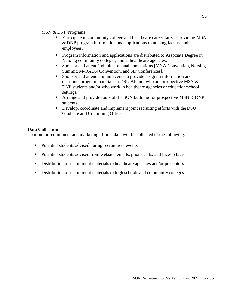#### MSN & DNP Programs

- Participate in community college and healthcare career fairs providing MSN & DNP program information and applications to nursing faculty and employees.
- **•** Program information and applications are distributed to Associate Degree in Nursing community colleges, and at healthcare agencies.
- Sponsor and attend/exhibit at annual conventions [MNA Convention, Nursing Summit, M-OADN Convention, and NP Conferences].
- **•** Sponsor and attend alumni events to provide program information and distribute program materials to DSU Alumni who are prospective MSN & DNP students and/or who work in healthcare agencies or education/school settings.
- **•** Arrange and provide tours of the SON building for prospective MSN  $&$  DNP students.
- Develop, coordinate and implement joint recruiting efforts with the DSU Graduate and Continuing Office.

## **Data Collection**

To monitor recruitment and marketing efforts, data will be collected of the following:

- Potential students advised during recruitment events
- Potential students advised from website, emails, phone calls, and face-to face
- **EXECUTE:** Distribution of recruitment materials to healthcare agencies and/or preceptors
- **EXECUTE:** Distribution of recruitment materials to high schools and community colleges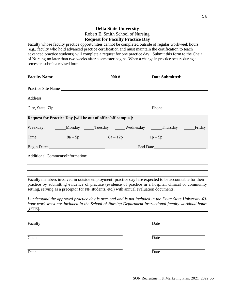56

# SON Recruitment & Marketing Plan, 2021\_2022 56

## **Delta State University**  Robert E. Smith School of Nursing **Request for Faculty Practice Day**

Faculty whose faculty practice opportunities cannot be completed outside of regular workweek hours (e.g., faculty who hold advanced practice certification and must maintain the certification to teach advanced practice students) will complete a request for one practice day. Submit this form to the Chair of Nursing no later than two weeks after a semester begins. When a change in practice occurs during a semester, submit a revised form.

| Practice Site Name                                           |          |
|--------------------------------------------------------------|----------|
|                                                              |          |
|                                                              |          |
| Request for Practice Day [will be out of office/off campus]: |          |
| Weekday: Monday Tuesday Wednesday Thursday Friday            |          |
| Time: $8a-5p$ $8a-12p$ $1p-5p$                               |          |
|                                                              | End Date |
| <b>Additional Comments/Information:</b>                      |          |
|                                                              |          |

Faculty members involved in outside employment [practice day] are expected to be accountable for their practice by submitting evidence of practice (evidence of practice in a hospital, clinical or community setting, serving as a preceptor for NP students, etc.) with annual evaluation documents.

*I understand the approved practice day is overload and is not included in the Delta State University 40 hour work week nor included in the School of Nursing Department instructional faculty workload hours*  [*i*FTE]*.*

Faculty Date

Chair **Date** 

Dean Date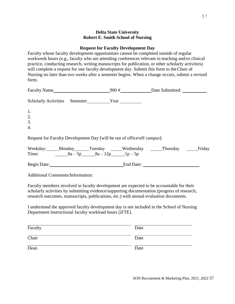#### **Delta State University Robert E. Smith School of Nursing**

#### **Request for Faculty Development Day**

Faculty whose faculty development opportunities cannot be completed outside of regular workweek hours (e.g., faculty who are attending conferences relevant to teaching and/or clinical practice, conducting research, writing manuscripts for publication, or other scholarly activities) will complete a request for one faculty development day. Submit this form to theChair of Nursing no later than two weeks after a semester begins. When a change occurs, submit a revised form.

| Faculty Name                                     |                                                                                      | $900 \#$                                                                |  |
|--------------------------------------------------|--------------------------------------------------------------------------------------|-------------------------------------------------------------------------|--|
| <b>Scholarly Activities</b>                      | Semester <u>Vear</u> <sub>Near</sub> <sub>Near</sub> <sub>Near</sub> <sub>Near</sub> |                                                                         |  |
| 1.<br>2.<br>$\overline{3}$ .<br>$\overline{4}$ . |                                                                                      |                                                                         |  |
|                                                  |                                                                                      | Request for Faculty Development Day [will be out of office/off campus]: |  |
|                                                  |                                                                                      |                                                                         |  |

| Weekday:    | Monday    | Tuesday    | _Wednesday | Thursday | Friday |
|-------------|-----------|------------|------------|----------|--------|
| Time:       | $8a - 5p$ | $8a - 12p$ | $1p-5p$    |          |        |
| Begin Date: |           |            | End Date:  |          |        |

Additional Comments/Information:

Faculty members involved in faculty development are expected to be accountable for their scholarly activities by submitting evidence/supporting documentation (progress of research, research outcomes, manuscripts, publications, etc.) with annual evaluation documents.

I understand the approved faculty development day is not included in the School of Nursing Department instructional faculty workload hours [iFTE].

| Faculty | Date |
|---------|------|
| Chair   | Date |
| Dean    | Date |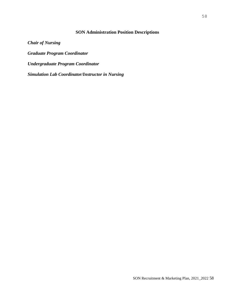## **SON Administration Position Descriptions**

*Chair of Nursing Graduate Program Coordinator Undergraduate Program Coordinator Simulation Lab Coordinator/Instructor in Nursing*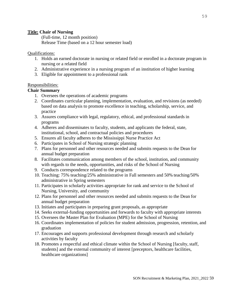#### **Title: Chair of Nursing**

(Full-time, 12 month position) Release Time (based on a 12 hour semester load)

## Qualifications:

- 1. Holds an earned doctorate in nursing or related field or enrolled in a doctorate program in nursing or a related field
- 2. Administrative experience in a nursing program of an institution of higher learning
- 3. Eligible for appointment to a professional rank

## Responsibilities:

## **Chair Summary**

- 1. Oversees the operations of academic programs
- 2. Coordinates curricular planning, implementation, evaluation, and revisions (as needed) based on data analysis to promote excellence in teaching, scholarship, service, and practice
- 3. Assures compliance with legal, regulatory, ethical, and professional standards in programs
- 4. Adheres and disseminates to faculty, students, and applicants the federal, state, institutional, school, and contractual policies and procedures
- 5. Ensures all faculty adheres to the Mississippi Nurse Practice Act
- 6. Participates in School of Nursing strategic planning
- 7. Plans for personnel and other resources needed and submits requests to the Dean for annual budget preparation
- 8. Facilitates communication among members of the school, institution, and community with regards to the needs, opportunities, and risks of the School of Nursing
- 9. Conducts correspondence related to the programs
- 10. Teaching: 75% teaching/25% administrative in Fall semesters and 50% teaching/50% administrative in Spring semesters
- 11. Participates in scholarly activities appropriate for rank and service to the School of Nursing, University, and community
- 12. Plans for personnel and other resources needed and submits requests to the Dean for annual budget preparation
- 13. Initiates and participates in preparing grant proposals, as appropriate
- 14. Seeks external-funding opportunities and forwards to faculty with appropriate interests
- 15. Oversees the Master Plan for Evaluation (MPE) for the School of Nursing
- 16. Coordinates implementation of policies for student admission, progression, retention, and graduation
- 17. Encourages and supports professional development through research and scholarly activities by faculty
- 18. Promotes a respectful and ethical climate within the School of Nursing [faculty, staff, students] and the external community of interest [preceptors, healthcare facilities, healthcare organizations]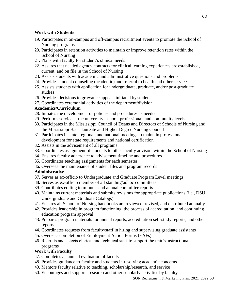## **Work with Students**

- 19. Participates in on-campus and off-campus recruitment events to promote the School of Nursing programs
- 20. Participates in retention activities to maintain or improve retention rates within the School of Nursing
- 21. Plans with faculty for student's clinical needs
- 22. Assures that needed agency contracts for clinical learning experiences are established, current, and on file in the School of Nursing
- 23. Assists students with academic and administrative questions and problems
- 24. Provides student counseling (academic) and referral to health and other services
- 25. Assists students with application for undergraduate, graduate, and/or post-graduate studies
- 26. Provides decisions to grievance appeals initiated by students
- 27. Coordinates ceremonial activities of the department/division

## **Academics/Curriculum**

- 28. Initiates the development of policies and procedures as needed
- 29. Performs service at the university, school, professional, and community levels
- 30. Participates in the Mississippi Council of Deans and Directors of Schools of Nursing and the Mississippi Baccalaureate and Higher Degree Nursing Council
- 31. Participates in state, regional, and national meetings to maintain professional development for state requirements and national certification
- 32. Assists in the advisement of all programs
- 33. Coordinates assignment of students to other faculty advisors within the School of Nursing
- 34. Ensures faculty adherence to advisement timeline and procedures
- 35. Coordinates teaching assignments for each semester
- 36. Oversees the maintenance of student files and program records

# **Administrative**

- 37. Serves as ex-officio to Undergraduate and Graduate Program Level meetings
- 38. Serves as ex-officio member of all standing/adhoc committees
- 39. Contributes editing to minutes and annual committee reports
- 40. Maintains current materials and submits revisions for appropriate publications (i.e., DSU Undergraduate and Graduate Catalogs)
- 41. Ensures all School of Nursing handbooks are reviewed, revised, and distributed annually
- 42. Provides leadership in program functioning, the process of accreditation, and continuing education program approval
- 43. Prepares program materials for annual reports, accreditation self-study reports, and other reports
- 44. Coordinates requests from faculty/staff in hiring and supervising graduate assistants
- 45. Oversees completion of Employment Action Forms (EAFs)
- 46. Recruits and selects clerical and technical staff to support the unit'sinstructional programs

# **Work with Faculty**

- 47. Completes an annual evaluation of faculty
- 48. Provides guidance to faculty and students in resolving academic concerns
- 49. Mentors faculty relative to teaching, scholarship/research, and service
- 50. Encourages and supports research and other scholarly activities by faculty

SON Recruitment & Marketing Plan, 2021\_2022 60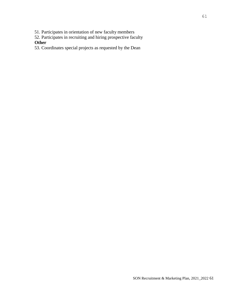51. Participates in orientation of new faculty members

52. Participates in recruiting and hiring prospective faculty **Other**

53. Coordinates special projects as requested by the Dean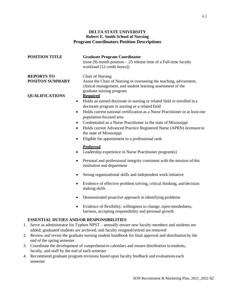#### **DELTA STATE UNIVERSITY Robert E. Smith School of Nursing Program Coordinators Position Descriptions**

| <b>POSITION TITLE</b>                | <b>Graduate Program Coordinator</b><br>(nine (9) month position - .25 release time of a Full-time faculty<br>workload [12 credit hours])                                                                                                                                                                                                                                                                                                                                                                                                          |
|--------------------------------------|---------------------------------------------------------------------------------------------------------------------------------------------------------------------------------------------------------------------------------------------------------------------------------------------------------------------------------------------------------------------------------------------------------------------------------------------------------------------------------------------------------------------------------------------------|
| <b>REPORTS TO</b><br>POSITON SUMMARY | Chair of Nursing<br>Assist the Chair of Nursing in overseeing the teaching, advisement,<br>clinical management, and student learning assessment of the<br>graduate nursing program.                                                                                                                                                                                                                                                                                                                                                               |
| <b>QUALIFICATIONS</b>                | <b>Required</b><br>Holds an earned doctorate in nursing or related field or enrolled in a<br>$\bullet$<br>doctorate program in nursing or a related field<br>Holds current national certification as a Nurse Practitioner in at least one<br>$\bullet$<br>population-focused area<br>Credentialed as a Nurse Practitioner in the state of Mississippi<br>$\bullet$<br>Holds current Advanced Practice Registered Nurse (APRN) licensure in<br>$\bullet$<br>the state of Mississippi<br>Eligible for appointment to a professional rank            |
|                                      | <b>Preferred</b><br>Leadership experience in Nurse Practitioner program(s)<br>Personal and professional integrity consistent with the mission of this<br>institution and department<br>Strong organizational skills and independent work initiative<br>Evidence of effective problem solving, critical thinking, and decision<br>٠<br>making skills<br>Demonstrated proactive approach in identifying problems<br>٠<br>Evidence of flexibility, willingness to change, open-mindedness,<br>fairness, accepting responsibility and personal growth |
|                                      | <b>ESSENTIAL DUTIES AND/OR RESPONSIBILITIES</b><br>1. Serve as administrator for Typhon NPST - annually ensure new faculty members and students are                                                                                                                                                                                                                                                                                                                                                                                               |

- added; graduated students are archived; and faculty resigned/retired are removed
- 2. Review and revise the graduate nursing student handbook for final approval and distribution by the end of the spring semester
- 3. Coordinate the development of comprehensive calendars and ensure distribution to students, faculty, and staff by the end of each semester
- 4. Recommend graduate program revisions based upon faculty feedback and evaluations each semester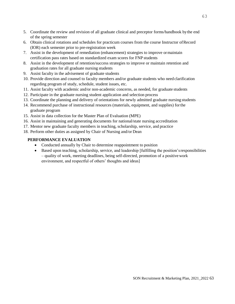- 5. Coordinate the review and revision of all graduate clinical and preceptor forms/handbook bythe end of the spring semester
- 6. Obtain clinical rotations and schedules for practicum courses from the course Instructor ofRecord (IOR) each semester prior to pre-registration week
- 7. Assist in the development of remediation (enhancement) strategies to improve ormaintain certification pass rates based on standardized exam scores for FNP students
- 8. Assist in the development of retention/success strategies to improve or maintain retention and graduation rates for all graduate nursing students
- 9. Assist faculty in the advisement of graduate students
- 10. Provide direction and counsel to faculty members and/or graduate students who need clarification regarding program of study, schedule, student issues, etc.
- 11. Assist faculty with academic and/or non-academic concerns, as needed, for graduate students
- 12. Participate in the graduate nursing student application and selection process
- 13. Coordinate the planning and delivery of orientations for newly admitted graduate nursing students
- 14. Recommend purchase of instructional resources (materials, equipment, and supplies) forthe graduate program
- 15. Assist in data collection for the Master Plan of Evaluation (MPE)
- 16. Assist in maintaining and generating documents for national/state nursing accreditation
- 17. Mentor new graduate faculty members in teaching, scholarship, service, and practice
- 18. Perform other duties as assigned by Chair of Nursing and/or Dean

#### **PERFORMANCE EVALUATION**

- Conducted annually by Chair to determine reappointment to position
- Based upon teaching, scholarship, service, and leadership [fulfilling the position's responsibilities – quality of work, meeting deadlines, being self-directed, promotion of a positivework environment, and respectful of others' thoughts and ideas]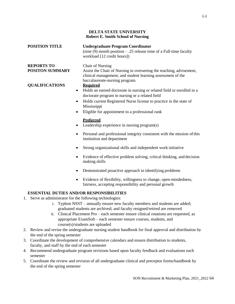#### **DELTA STATE UNIVERSITY Robert E. Smith School of Nursing**

| <b>POSITION TITLE</b>  | <b>Undergraduate Program Coordinator</b><br>(nine $(9)$ month position – .25 release time of a Full-time faculty<br>workload [12 credit hours])                      |
|------------------------|----------------------------------------------------------------------------------------------------------------------------------------------------------------------|
| <b>REPORTS TO</b>      | <b>Chair of Nursing</b>                                                                                                                                              |
| <b>POSITON SUMMARY</b> | Assist the Chair of Nursing in overseeing the teaching, advisement,<br>clinical management, and student learning assessment of the<br>baccalaureate-nursing program. |
| <b>QUALIFICATIONS</b>  | <b>Required</b>                                                                                                                                                      |
|                        | Holds an earned doctorate in nursing or related field or enrolled in a<br>$\bullet$<br>doctorate program in nursing or a related field                               |
|                        | Holds current Registered Nurse license to practice in the state of<br>$\bullet$<br>Mississippi                                                                       |
|                        | Eligible for appointment to a professional rank                                                                                                                      |
|                        | <b>Preferred</b>                                                                                                                                                     |
|                        | Leadership experience in nursing program(s)                                                                                                                          |
|                        | Personal and professional integrity consistent with the mission of this<br>institution and department                                                                |

- Strong organizational skills and independent work initiative
- Evidence of effective problem solving, critical thinking, and decision making skills
- Demonstrated proactive approach in identifying problems
- Evidence of flexibility, willingness to change, open-mindedness, fairness, accepting responsibility and personal growth

## **ESSENTIAL DUTIES AND/OR RESPONSIBILITIES**

- 1. Serve as administrator for the following technologies:
	- i. Typhon NSST annually ensure new faculty members and students are added; graduated students are archived; and faculty resigned/retired are removed
	- ii. Clinical Placement Pro each semester ensure clinical rotations are requested, as appropriate ExamSoft – each semester ensure courses, students, and course(s)/students are uploaded
- 2. Review and revise the undergraduate nursing student handbook for final approval and distribution by the end of the spring semester
- 3. Coordinate the development of comprehensive calendars and ensure distribution to students, faculty, and staff by the end of each semester
- 4. Recommend undergraduate program revisions based upon faculty feedback and evaluations each semester
- 5. Coordinate the review and revision of all undergraduate clinical and preceptor forms/handbook by the end of the spring semester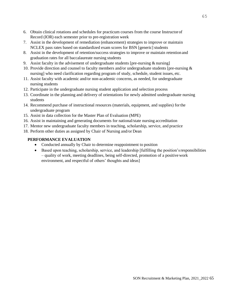- 6. Obtain clinical rotations and schedules for practicum courses from the course Instructorof Record (IOR) each semester prior to pre-registration week
- 7. Assist in the development of remediation (enhancement) strategies to improve or maintain NCLEX pass rates based on standardized exam scores for BSN [generic] students
- 8. Assist in the development of retention/success strategies to improve or maintain retention and graduation rates for all baccalaureate nursing students
- 9. Assist faculty in the advisement of undergraduate students [pre-nursing & nursing]
- 10. Provide direction and counsel to faculty members and/or undergraduate students [pre-nursing & nursing] who need clarification regarding program of study, schedule, student issues, etc.
- 11. Assist faculty with academic and/or non-academic concerns, as needed, for undergraduate nursing students
- 12. Participate in the undergraduate nursing student application and selection process
- 13. Coordinate in the planning and delivery of orientations for newly admitted undergraduate nursing students
- 14. Recommend purchase of instructional resources (materials, equipment, and supplies) forthe undergraduate program
- 15. Assist in data collection for the Master Plan of Evaluation (MPE)
- 16. Assist in maintaining and generating documents for national/state nursing accreditation
- 17. Mentor new undergraduate faculty members in teaching, scholarship, service, and practice
- 18. Perform other duties as assigned by Chair of Nursing and/or Dean

#### **PERFORMANCE EVALUATION**

- Conducted annually by Chair to determine reappointment to position
- Based upon teaching, scholarship, service, and leadership [fulfilling the position's responsibilities – quality of work, meeting deadlines, being self-directed, promotion of a positivework environment, and respectful of others' thoughts and ideas]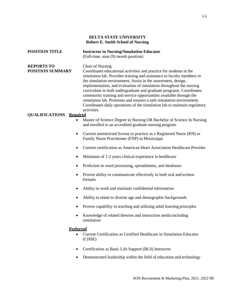#### **DELTA STATE UNIVERSITY Robert E. Smith School of Nursing**

| <b>POSITION TITLE</b>                        | <b>Instructor in Nursing/Simulation Educator</b><br>(Full-time, nine (9) month position)                                                                                                                                                                                                                                                                                                                                                                                                                                                                                                                                         |  |
|----------------------------------------------|----------------------------------------------------------------------------------------------------------------------------------------------------------------------------------------------------------------------------------------------------------------------------------------------------------------------------------------------------------------------------------------------------------------------------------------------------------------------------------------------------------------------------------------------------------------------------------------------------------------------------------|--|
| <b>REPORTS TO</b><br><b>POSITION SUMMARY</b> | <b>Chair of Nursing</b><br>Coordinates educational activities and practice for students in the<br>simulation lab. Provides training and assistance to faculty members in<br>the simulation environment. Assist in the assessment, design,<br>implementation, and evaluation of simulation throughout the nursing<br>curriculum in both undergraduate and graduate programs. Coordinates<br>community training and service opportunities available through the<br>simulation lab. Promotes and ensures a safe simulation environment.<br>Coordinates daily operations of the simulation lab to maintain regulatory<br>activities. |  |
| <b>QUALIFICATIONS Required</b>               |                                                                                                                                                                                                                                                                                                                                                                                                                                                                                                                                                                                                                                  |  |
| $\bullet$                                    | Master of Science Degree in Nursing OR Bachelor of Science In Nursing<br>and enrolled in an accredited graduate nursing program                                                                                                                                                                                                                                                                                                                                                                                                                                                                                                  |  |
| ٠                                            | Current unrestricted license to practice as a Registered Nurse (RN) or<br>Family Nurse Practitioner (FNP) in Mississippi                                                                                                                                                                                                                                                                                                                                                                                                                                                                                                         |  |
| $\bullet$                                    | Current certification as American Heart Association Healthcare Provider                                                                                                                                                                                                                                                                                                                                                                                                                                                                                                                                                          |  |
| $\bullet$                                    | Minimum of 1-2 years clinical experience in healthcare                                                                                                                                                                                                                                                                                                                                                                                                                                                                                                                                                                           |  |
| $\bullet$                                    | Proficient in word processing, spreadsheets, and databases                                                                                                                                                                                                                                                                                                                                                                                                                                                                                                                                                                       |  |
| $\bullet$                                    | Proven ability to communicate effectively in both oral and written<br>formats                                                                                                                                                                                                                                                                                                                                                                                                                                                                                                                                                    |  |
| $\bullet$                                    | Ability to work and maintain confidential information                                                                                                                                                                                                                                                                                                                                                                                                                                                                                                                                                                            |  |
| ٠                                            | Ability to relate to diverse age and demographic backgrounds                                                                                                                                                                                                                                                                                                                                                                                                                                                                                                                                                                     |  |
| $\bullet$                                    | Proven capability in teaching and utilizing adult learning principles                                                                                                                                                                                                                                                                                                                                                                                                                                                                                                                                                            |  |
| ٠                                            | Knowledge of related theories and instruction media including<br>simulation                                                                                                                                                                                                                                                                                                                                                                                                                                                                                                                                                      |  |
| <b>Preferred</b>                             | Current Certification as Certified Healthcare in Simulation Educator<br>(CHSE)                                                                                                                                                                                                                                                                                                                                                                                                                                                                                                                                                   |  |
| $\bullet$                                    | Certification as Basic Life Support (BLS) Instructor                                                                                                                                                                                                                                                                                                                                                                                                                                                                                                                                                                             |  |
|                                              | Demonstrated leadership within the field of education and technology                                                                                                                                                                                                                                                                                                                                                                                                                                                                                                                                                             |  |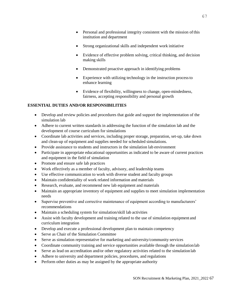- Personal and professional integrity consistent with the mission of this institution and department
- Strong organizational skills and independent work initiative
- Evidence of effective problem solving, critical thinking, and decision making skills
- Demonstrated proactive approach in identifying problems
- Experience with utilizing technology in the instruction process to enhance learning
- Evidence of flexibility, willingness to change, open-mindedness, fairness, accepting responsibility and personal growth

#### **ESSENTIAL DUTIES AND/OR RESPONSIBILITIES**

- Develop and review policies and procedures that guide and support the implementation of the simulation lab
- Adhere to current written standards in addressing the function of the simulation lab and the development of course curriculum for simulations
- Coordinate lab activities and services, including proper storage, preparation, set-up, take down and clean-up of equipment and supplies needed for scheduled simulations.
- Provide assistance to students and instructors in the simulation lab environment
- Participate in appropriate educational opportunities as indicated to be aware of current practices and equipment in the field of simulation
- Promote and ensure safe lab practices
- Work effectively as a member of faculty, advisory, and leadership teams
- Use effective communication to work with diverse student and faculty groups
- Maintain confidentiality of work related information and materials
- Research, evaluate, and recommend new lab equipment and materials
- Maintain an appropriate inventory of equipment and supplies to meet simulation implementation needs
- Supervise preventive and corrective maintenance of equipment according to manufacturers' recommendations
- Maintain a scheduling system for simulation/skill lab activities
- Assist with faculty development and training related to the use of simulation equipment and curriculum integration
- Develop and execute a professional development plan to maintain competency
- Serve as Chair of the Simulation Committee
- Serve as simulation representative for marketing and university/community services
- Coordinate community training and service opportunities available through the simulation lab
- Serve as lead on accreditation and/or other regulatory activities related to the simulation lab
- Adhere to university and department policies, procedures, and regulations
- Perform other duties as may be assigned by the appropriate authority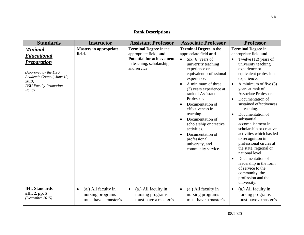# **Rank Descriptions**

| <b>Standards</b>                                                                                                                                                    | <b>Instructor</b>                                                            | <b>Assistant Professor</b>                                                                                                               | <b>Associate Professor</b>                                                                                                                                                                                                                                                                                                                                                                                                                                     | <b>Professor</b>                                                                                                                                                                                                                                                                                                                                                                                                                                                                                                                                                                                                                                                               |
|---------------------------------------------------------------------------------------------------------------------------------------------------------------------|------------------------------------------------------------------------------|------------------------------------------------------------------------------------------------------------------------------------------|----------------------------------------------------------------------------------------------------------------------------------------------------------------------------------------------------------------------------------------------------------------------------------------------------------------------------------------------------------------------------------------------------------------------------------------------------------------|--------------------------------------------------------------------------------------------------------------------------------------------------------------------------------------------------------------------------------------------------------------------------------------------------------------------------------------------------------------------------------------------------------------------------------------------------------------------------------------------------------------------------------------------------------------------------------------------------------------------------------------------------------------------------------|
| <b>Minimal</b><br><u>Educational</u><br><b>Preparation</b><br>(Approved by the DSU<br>Academic Council, June 10,<br>2013)<br><b>DSU</b> Faculty Promotion<br>Policy | <b>Masters in appropriate</b><br>field.                                      | <b>Terminal Degree</b> in the<br>appropriate field; and<br><b>Potential for achievement</b><br>in teaching, scholarship,<br>and service. | <b>Terminal Degree</b> in the<br>appropriate field and<br>Six (6) years of<br>$\bullet$<br>university teaching<br>experience or<br>equivalent professional<br>experience.<br>A minimum of three<br>(3) years experience at<br>rank of Assistant<br>Professor.<br>Documentation of<br>effectiveness in<br>teaching.<br>Documentation of<br>scholarship or creative<br>activities.<br>Documentation of<br>professional,<br>university, and<br>community service. | <b>Terminal Degree in</b><br>appropriate field and<br>Twelve (12) years of<br>university teaching<br>experience or<br>equivalent professional<br>experience.<br>A minimum of five $(5)$<br>years at rank of<br>Associate Professor.<br>Documentation of<br>$\bullet$<br>sustained effectiveness<br>in teaching.<br>Documentation of<br>$\bullet$<br>substantial<br>accomplishment in<br>scholarship or creative<br>activities which has led<br>to recognition in<br>professional circles at<br>the state, regional or<br>national level<br>Documentation of<br>$\bullet$<br>leadership in the form<br>of service to the<br>community, the<br>profession and the<br>university. |
| <b>IHL Standards</b><br>#II., 2, pp. 5<br>(December 2015)                                                                                                           | (a.) All faculty in<br>$\bullet$<br>nursing programs<br>must have a master's | (a.) All faculty in<br>$\bullet$<br>nursing programs<br>must have a master's                                                             | (a.) All faculty in<br>$\bullet$<br>nursing programs<br>must have a master's                                                                                                                                                                                                                                                                                                                                                                                   | (a.) All faculty in<br>$\bullet$<br>nursing programs<br>must have a master's                                                                                                                                                                                                                                                                                                                                                                                                                                                                                                                                                                                                   |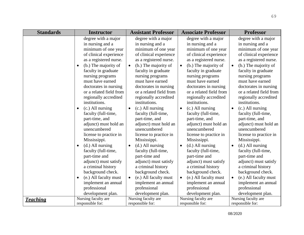| <b>Standards</b> | <b>Instructor</b>                                                                                                                                                                                                                                                                                                                                                                                                                                                                                                                                                                                                                                                                           | <b>Assistant Professor</b>                                                                                                                                                                                                                                                                                                                                                                                                                                                                                                                                                                                                                                                                    | <b>Associate Professor</b>                                                                                                                                                                                                                                                                                                                                                                                                                                                                                                                                                                                                                                                                    | <b>Professor</b>                                                                                                                                                                                                                                                                                                                                                                                                                                                                                                                                                                                                                                                                              |
|------------------|---------------------------------------------------------------------------------------------------------------------------------------------------------------------------------------------------------------------------------------------------------------------------------------------------------------------------------------------------------------------------------------------------------------------------------------------------------------------------------------------------------------------------------------------------------------------------------------------------------------------------------------------------------------------------------------------|-----------------------------------------------------------------------------------------------------------------------------------------------------------------------------------------------------------------------------------------------------------------------------------------------------------------------------------------------------------------------------------------------------------------------------------------------------------------------------------------------------------------------------------------------------------------------------------------------------------------------------------------------------------------------------------------------|-----------------------------------------------------------------------------------------------------------------------------------------------------------------------------------------------------------------------------------------------------------------------------------------------------------------------------------------------------------------------------------------------------------------------------------------------------------------------------------------------------------------------------------------------------------------------------------------------------------------------------------------------------------------------------------------------|-----------------------------------------------------------------------------------------------------------------------------------------------------------------------------------------------------------------------------------------------------------------------------------------------------------------------------------------------------------------------------------------------------------------------------------------------------------------------------------------------------------------------------------------------------------------------------------------------------------------------------------------------------------------------------------------------|
|                  | degree with a major<br>in nursing and a<br>minimum of one year<br>of clinical experience<br>as a registered nurse.<br>(b.) The majority of<br>$\bullet$<br>faculty in graduate<br>nursing programs<br>must have earned<br>doctorates in nursing<br>or a related field from<br>regionally accredited<br>institutions.<br>(c.) All nursing<br>$\bullet$<br>faculty (full-time,<br>part-time, and<br>adjunct) must hold an<br>unencumbered<br>license to practice in<br>Mississippi.<br>(d.) All nursing<br>$\bullet$<br>faculty (full-time,<br>part-time and<br>adjunct) must satisfy<br>a criminal history<br>background check.<br>(e.) All faculty must<br>$\bullet$<br>implement an annual | degree with a major<br>in nursing and a<br>minimum of one year<br>of clinical experience<br>as a registered nurse.<br>(b.) The majority of<br>$\bullet$<br>faculty in graduate<br>nursing programs<br>must have earned<br>doctorates in nursing<br>or a related field from<br>regionally accredited<br>institutions.<br>(c.) All nursing<br>$\bullet$<br>faculty (full-time,<br>part-time, and<br>adjunct) must hold an<br>unencumbered<br>license to practice in<br>Mississippi.<br>$(d.)$ All nursing<br>$\bullet$<br>faculty (full-time,<br>part-time and<br>adjunct) must satisfy<br>a criminal history<br>background check.<br>(e.) All faculty must<br>$\bullet$<br>implement an annual | degree with a major<br>in nursing and a<br>minimum of one year<br>of clinical experience<br>as a registered nurse.<br>(b.) The majority of<br>$\bullet$<br>faculty in graduate<br>nursing programs<br>must have earned<br>doctorates in nursing<br>or a related field from<br>regionally accredited<br>institutions.<br>$(c.)$ All nursing<br>$\bullet$<br>faculty (full-time,<br>part-time, and<br>adjunct) must hold an<br>unencumbered<br>license to practice in<br>Mississippi.<br>(d.) All nursing<br>$\bullet$<br>faculty (full-time,<br>part-time and<br>adjunct) must satisfy<br>a criminal history<br>background check.<br>(e.) All faculty must<br>$\bullet$<br>implement an annual | degree with a major<br>in nursing and a<br>minimum of one year<br>of clinical experience<br>as a registered nurse.<br>(b.) The majority of<br>$\bullet$<br>faculty in graduate<br>nursing programs<br>must have earned<br>doctorates in nursing<br>or a related field from<br>regionally accredited<br>institutions.<br>(c.) All nursing<br>$\bullet$<br>faculty (full-time,<br>part-time, and<br>adjunct) must hold an<br>unencumbered<br>license to practice in<br>Mississippi.<br>$(d.)$ All nursing<br>$\bullet$<br>faculty (full-time,<br>part-time and<br>adjunct) must satisfy<br>a criminal history<br>background check.<br>(e.) All faculty must<br>$\bullet$<br>implement an annual |
|                  | professional<br>development plan.                                                                                                                                                                                                                                                                                                                                                                                                                                                                                                                                                                                                                                                           | professional<br>development plan.                                                                                                                                                                                                                                                                                                                                                                                                                                                                                                                                                                                                                                                             | professional<br>development plan.                                                                                                                                                                                                                                                                                                                                                                                                                                                                                                                                                                                                                                                             | professional<br>development plan.                                                                                                                                                                                                                                                                                                                                                                                                                                                                                                                                                                                                                                                             |
|                  | Nursing faculty are                                                                                                                                                                                                                                                                                                                                                                                                                                                                                                                                                                                                                                                                         | Nursing faculty are                                                                                                                                                                                                                                                                                                                                                                                                                                                                                                                                                                                                                                                                           | Nursing faculty are                                                                                                                                                                                                                                                                                                                                                                                                                                                                                                                                                                                                                                                                           | Nursing faculty are                                                                                                                                                                                                                                                                                                                                                                                                                                                                                                                                                                                                                                                                           |
| <u>Teaching</u>  | responsible for:                                                                                                                                                                                                                                                                                                                                                                                                                                                                                                                                                                                                                                                                            | responsible for:                                                                                                                                                                                                                                                                                                                                                                                                                                                                                                                                                                                                                                                                              | responsible for:                                                                                                                                                                                                                                                                                                                                                                                                                                                                                                                                                                                                                                                                              | responsible for:                                                                                                                                                                                                                                                                                                                                                                                                                                                                                                                                                                                                                                                                              |

08/2020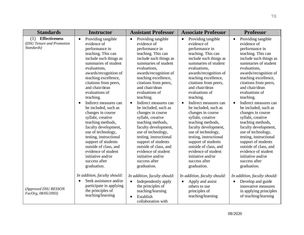| <b>Standards</b>                                                       | <b>Instructor</b>                                                                                                                                                                                                                                                                                                                                                                                                                                                                                                                                                                                                    | <b>Assistant Professor</b>                                                                                                                                                                                                                                                                                                                                                                                                                                                                                                                                                                                           | <b>Associate Professor</b>                                                                                                                                                                                                                                                                                                                                                                                                                                                                                                                                                                                           | <b>Professor</b>                                                                                                                                                                                                                                                                                                                                                                                                                                                                                                                                                                                                     |
|------------------------------------------------------------------------|----------------------------------------------------------------------------------------------------------------------------------------------------------------------------------------------------------------------------------------------------------------------------------------------------------------------------------------------------------------------------------------------------------------------------------------------------------------------------------------------------------------------------------------------------------------------------------------------------------------------|----------------------------------------------------------------------------------------------------------------------------------------------------------------------------------------------------------------------------------------------------------------------------------------------------------------------------------------------------------------------------------------------------------------------------------------------------------------------------------------------------------------------------------------------------------------------------------------------------------------------|----------------------------------------------------------------------------------------------------------------------------------------------------------------------------------------------------------------------------------------------------------------------------------------------------------------------------------------------------------------------------------------------------------------------------------------------------------------------------------------------------------------------------------------------------------------------------------------------------------------------|----------------------------------------------------------------------------------------------------------------------------------------------------------------------------------------------------------------------------------------------------------------------------------------------------------------------------------------------------------------------------------------------------------------------------------------------------------------------------------------------------------------------------------------------------------------------------------------------------------------------|
| <b>Effectiveness</b><br>(1)<br>(DSU Tenure and Promotion<br>Standards) | Providing tangible<br>$\bullet$<br>evidence of<br>performance in<br>teaching. This can<br>include such things as<br>summaries of student<br>evaluations,<br>awards/recognition of<br>teaching excellence,<br>citations from peers,<br>and chair/dean<br>evaluations of<br>teaching.<br>Indirect measures can<br>$\bullet$<br>be included, such as<br>changes in course<br>syllabi, creative<br>teaching methods,<br>faculty development,<br>use of technology,<br>testing, instructional<br>support of students<br>outside of class, and<br>evidence of student<br>initiative and/or<br>success after<br>graduation. | Providing tangible<br>$\bullet$<br>evidence of<br>performance in<br>teaching. This can<br>include such things as<br>summaries of student<br>evaluations,<br>awards/recognition of<br>teaching excellence,<br>citations from peers,<br>and chair/dean<br>evaluations of<br>teaching.<br>Indirect measures can<br>$\bullet$<br>be included, such as<br>changes in course<br>syllabi, creative<br>teaching methods,<br>faculty development,<br>use of technology,<br>testing, instructional<br>support of students<br>outside of class, and<br>evidence of student<br>initiative and/or<br>success after<br>graduation. | Providing tangible<br>$\bullet$<br>evidence of<br>performance in<br>teaching. This can<br>include such things as<br>summaries of student<br>evaluations,<br>awards/recognition of<br>teaching excellence,<br>citations from peers,<br>and chair/dean<br>evaluations of<br>teaching.<br>Indirect measures can<br>$\bullet$<br>be included, such as<br>changes in course<br>syllabi, creative<br>teaching methods,<br>faculty development,<br>use of technology,<br>testing, instructional<br>support of students<br>outside of class, and<br>evidence of student<br>initiative and/or<br>success after<br>graduation. | Providing tangible<br>$\bullet$<br>evidence of<br>performance in<br>teaching. This can<br>include such things as<br>summaries of student<br>evaluations,<br>awards/recognition of<br>teaching excellence,<br>citations from peers,<br>and chair/dean<br>evaluations of<br>teaching.<br>Indirect measures can<br>$\bullet$<br>be included, such as<br>changes in course<br>syllabi, creative<br>teaching methods,<br>faculty development,<br>use of technology,<br>testing, instructional<br>support of students<br>outside of class, and<br>evidence of student<br>initiative and/or<br>success after<br>graduation. |
| (Approved DSU RESSON<br>FacOrg, 08/05/2003)                            | In addition, faculty should:<br>Seek assistance and/or<br>$\bullet$<br>participate in applying<br>the principles of<br>teaching/learning                                                                                                                                                                                                                                                                                                                                                                                                                                                                             | In addition, faculty should:<br>Independently apply<br>$\bullet$<br>the principles of<br>teaching/learning<br>Establish<br>collaboration with                                                                                                                                                                                                                                                                                                                                                                                                                                                                        | In addition, faculty should:<br>Apply and assist<br>others to use<br>principles of<br>teaching/learning                                                                                                                                                                                                                                                                                                                                                                                                                                                                                                              | In addition, faculty should:<br>Develop and guide<br>innovative measures<br>in applying principles<br>of teaching/learning                                                                                                                                                                                                                                                                                                                                                                                                                                                                                           |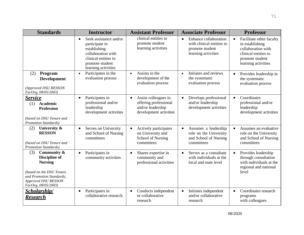| <b>Standards</b>                                                                                                                                                             | <b>Instructor</b>                                                                                                                                             | <b>Assistant Professor</b>                                                                                | <b>Associate Professor</b>                                                                                | <b>Professor</b>                                                                                                                    |
|------------------------------------------------------------------------------------------------------------------------------------------------------------------------------|---------------------------------------------------------------------------------------------------------------------------------------------------------------|-----------------------------------------------------------------------------------------------------------|-----------------------------------------------------------------------------------------------------------|-------------------------------------------------------------------------------------------------------------------------------------|
|                                                                                                                                                                              | Seek assistance and/or<br>$\bullet$<br>participate in<br>establishing<br>collaboration with<br>clinical entities to<br>promote student<br>learning activities | clinical entities to<br>promote student<br>learning activities                                            | Enhance collaboration<br>$\bullet$<br>with clinical entities to<br>promote student<br>learning activities | Facilitate other faculty<br>in establishing<br>collaboration with<br>clinical entities to<br>promote student<br>learning activities |
| Program<br>(2)<br><b>Development</b><br>(Approved DSU RESSON<br>FacOrg, 08/05/2003)                                                                                          | Participates in the<br>$\bullet$<br>evaluation process                                                                                                        | Assists in the<br>$\bullet$<br>development of the<br>evaluation process                                   | Initiates and reviews<br>$\bullet$<br>the systematic<br>evaluation process                                | Provides leadership in<br>the systematic<br>evaluation process                                                                      |
| <u>Service</u><br>(1)<br>Academic<br><b>Profession</b><br>(based on DSU Tenure and<br><b>Promotion Standards</b> )                                                           | Participates in<br>$\bullet$<br>professional and/or<br>leadership<br>development activities                                                                   | Assist colleagues in<br>$\bullet$<br>offering professional<br>and/or leadership<br>development activities | Develops professional<br>$\bullet$<br>and/or leadership<br>development activities                         | Coordinates<br>professional and/or<br>leadership<br>development activities                                                          |
| University &<br>(2)<br><b>RESSON</b><br>(based on DSU Tenure and<br><b>Promotion Standards</b> )                                                                             | Serves on University<br>$\bullet$<br>and School of Nursing<br>committees                                                                                      | Actively participates<br>$\bullet$<br>on University and<br>School of Nursing<br>committees                | Assumes a leadership<br>role on the University<br>and School of Nursing<br>committees                     | Assumes an evaluative<br>role on the University<br>and School of Nursing<br>committees                                              |
| (3)<br>Community $\&$<br><b>Discipline of</b><br><b>Nursing</b><br>(based on the DSU Tenure<br>and Promotion Standards;<br><b>Approved DSU RESSON</b><br>FacOrg, 08/05/2003) | Participates in<br>$\bullet$<br>community activities                                                                                                          | Shares expertise in<br>$\bullet$<br>community and<br>professional activities                              | Serves as a consultant<br>$\bullet$<br>with individuals at the<br>local and state level                   | Provides leadership<br>$\bullet$<br>through consultation<br>with individuals at the<br>regional and national<br>level               |
| <u>Scholarship/</u><br><u>Research</u>                                                                                                                                       | Participates in<br>$\bullet$<br>collaborative research                                                                                                        | Conducts independent<br>$\bullet$<br>or collaborative<br>research                                         | Initiates independent<br>$\bullet$<br>and/or collaborative<br>research                                    | Coordinates research<br>$\bullet$<br>programs<br>with colleagues                                                                    |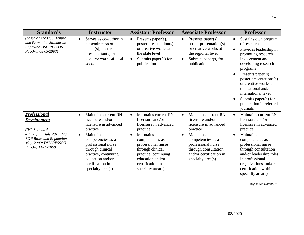| <b>Standards</b>                                                                                                                                                              | <b>Instructor</b>                                                                                                                                                                                                                                                        | <b>Assistant Professor</b>                                                                                                                                                                                                                                  | <b>Associate Professor</b>                                                                                                                                                                                                              | <b>Professor</b>                                                                                                                                                                                                                                                                                                                                                                       |
|-------------------------------------------------------------------------------------------------------------------------------------------------------------------------------|--------------------------------------------------------------------------------------------------------------------------------------------------------------------------------------------------------------------------------------------------------------------------|-------------------------------------------------------------------------------------------------------------------------------------------------------------------------------------------------------------------------------------------------------------|-----------------------------------------------------------------------------------------------------------------------------------------------------------------------------------------------------------------------------------------|----------------------------------------------------------------------------------------------------------------------------------------------------------------------------------------------------------------------------------------------------------------------------------------------------------------------------------------------------------------------------------------|
| (based on the DSU Tenure)<br>and Promotion Standards;<br><b>Approved DSU RESSON</b><br>FacOrg, 08/05/2003)                                                                    | Serves as co-author in<br>$\bullet$<br>dissemination of<br>paper(s), poster<br>$presentation(s)$ or<br>creative works at local<br>level                                                                                                                                  | Presents paper(s),<br>$\bullet$<br>poster presentation(s)<br>or creative works at<br>the state level<br>Submits paper(s) for<br>publication                                                                                                                 | Presents paper(s),<br>$\bullet$<br>poster presentation(s)<br>or creative works at<br>the regional level<br>Submits paper(s) for<br>publication                                                                                          | Sustains own program<br>$\bullet$<br>of research<br>Provides leadership in<br>$\bullet$<br>promoting research<br>involvement and<br>developing research<br>programs<br>Presents paper(s),<br>$\bullet$<br>poster presentations(s)<br>or creative works at<br>the national and/or<br>international level<br>Submits paper $(s)$ for<br>$\bullet$<br>publication in referred<br>journals |
| <b>Professional</b><br><b>Development</b><br>(IHL Standard<br>#II., 2, p. 5; July 2013; MS<br><b>BON Rules and Regulations,</b><br>May, 2009; DSU RESSON<br>FacOrg 11/09/2009 | Maintains current RN<br>$\bullet$<br>licensure and/or<br>licensure in advanced<br>practice<br>Maintains<br>$\bullet$<br>competencies as a<br>professional nurse<br>through clinical<br>practice, continuing<br>education and/or<br>certification in<br>specialty area(s) | Maintains current RN<br>licensure and/or<br>licensure in advanced<br>practice<br>Maintains<br>$\bullet$<br>competencies as a<br>professional nurse<br>through clinical<br>practice, continuing<br>education and/or<br>certification in<br>specialty area(s) | Maintains current RN<br>$\bullet$<br>licensure and/or<br>licensure in advanced<br>practice<br>Maintains<br>$\bullet$<br>competencies as a<br>professional nurse<br>through consultation<br>and/or certification in<br>specialty area(s) | Maintains current RN<br>$\bullet$<br>licensure and/or<br>licensure in advanced<br>practice<br>Maintains<br>$\bullet$<br>competencies as a<br>professional nurse<br>through consultation<br>and/or leadership roles<br>in professional<br>organizations and/or<br>certification within<br>specialty area(s)                                                                             |

*Origination Date:05/0*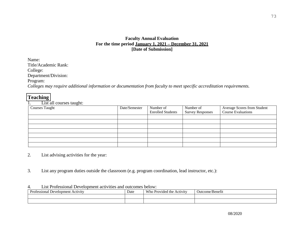# **Faculty Annual Evaluation For the time period January 1, 2021 – December 31, 2021 [Date of Submission]**

Name: Title/Academic Rank: College: Department/Division: Program: *Colleges may require additional information or documentation from faculty to meet specific accreditation requirements.*

# **Teaching**

1. List all courses taught:

| <b>Courses Taught</b> | Date/Semester | Number of<br><b>Enrolled Students</b> | Number of<br><b>Survey Responses</b> | Average Scores from Student<br>Course Evaluations |
|-----------------------|---------------|---------------------------------------|--------------------------------------|---------------------------------------------------|
|                       |               |                                       |                                      |                                                   |
|                       |               |                                       |                                      |                                                   |
|                       |               |                                       |                                      |                                                   |
|                       |               |                                       |                                      |                                                   |
|                       |               |                                       |                                      |                                                   |
|                       |               |                                       |                                      |                                                   |
|                       |               |                                       |                                      |                                                   |

- 2. List advising activities for the year:
- 3. List any program duties outside the classroom (e.g. program coordination, lead instructor, etc.):

#### 4. List Professional Development activities and outcomes below:

| レー<br>l Development i<br>Activity<br>sional<br>، ה ה־ | Date | <b>Wh</b><br>-<br><b>Activity</b><br>l the<br>Provided | Outcome/<br>/Benetit |
|-------------------------------------------------------|------|--------------------------------------------------------|----------------------|
|                                                       |      |                                                        |                      |
|                                                       |      |                                                        |                      |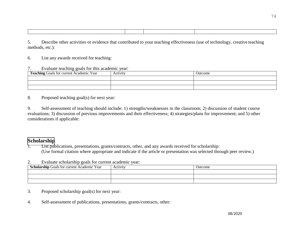5. Describe other activities or evidence that contributed to your teaching effectiveness (use of technology, creative teaching methods, etc.):

6. List any awards received for teaching:

#### 7. Evaluate teaching goals for this academic year:

| Teaching Goals for current Academic Year | Activity | Jutcome |
|------------------------------------------|----------|---------|
|                                          |          |         |
|                                          |          |         |
|                                          |          |         |

8. Proposed teaching goal(s) for next year:

9. Self-assessment of teaching should include: 1) strengths/weaknesses in the classroom; 2) discussion of student course evaluations; 3) discussion of previous improvements and their effectiveness; 4) strategies/plans for improvement; and 5) other considerations if applicable:

# **Scholarship**

List publications, presentations, grants/contracts, other, and any awards received for scholarship: (Use formal citation where appropriate and indicate if the article or presentation was selected through peer review.)

2. Evaluate scholarship goals for current academic year:

| <b>Scholarship Goals for current Academic Year</b> | Activity | Jutcome |
|----------------------------------------------------|----------|---------|
|                                                    |          |         |
|                                                    |          |         |
|                                                    |          |         |

# 3. Proposed scholarship goal(s) for next year:

4. Self-assessment of publications, presentations, grants/contracts, other: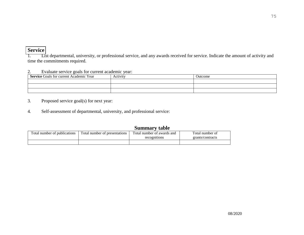# **Service**

1. List departmental, university, or professional service, and any awards received for service. Indicate the amount of activity and time the commitments required.

#### 2. Evaluate service goals for current academic year:

| <b>Service</b> Goals for current Academic Year | Activity | Outcome |
|------------------------------------------------|----------|---------|
|                                                |          |         |
|                                                |          |         |
|                                                |          |         |

- 3. Proposed service goal(s) for next year:
- 4. Self-assessment of departmental, university, and professional service:

# **Summary table**

| Total number of publications | Total number of presentations | Total number of awards and<br>recognitions | Total number of<br>grants/contracts |
|------------------------------|-------------------------------|--------------------------------------------|-------------------------------------|
|                              |                               |                                            |                                     |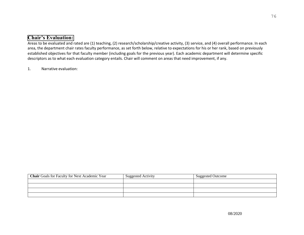# **Chair's Evaluation:**

Areas to be evaluated and rated are (1) teaching, (2) research/scholarship/creative activity, (3) service, and (4) overall performance. In each area, the department chair rates faculty performance, as set forth below, relative to expectations for his or her rank, based on previously established objectives for that faculty member (including goals for the previous year). Each academic department will determine specific descriptors as to what each evaluation category entails. Chair will comment on areas that need improvement, if any.

1. Narrative evaluation:

| <b>Chair</b> Goals for Faculty for Next Academic Year | <b>Suggested Activity</b> | <b>Suggested Outcome</b> |
|-------------------------------------------------------|---------------------------|--------------------------|
|                                                       |                           |                          |
|                                                       |                           |                          |
|                                                       |                           |                          |
|                                                       |                           |                          |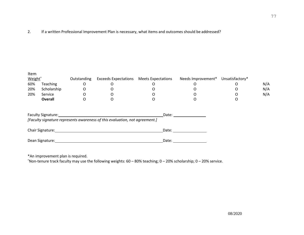2. If a written Professional Improvement Plan is necessary, what items and outcomes should be addressed?

| Item<br>Weight <sup>^</sup> |                  | Outstanding | <b>Exceeds Expectations</b>                                                                                                                                                                                                                                                                                   | <b>Meets Expectations</b> | Needs Improvement*                                                                                                                                                                                                             | Unsatisfactory* |     |
|-----------------------------|------------------|-------------|---------------------------------------------------------------------------------------------------------------------------------------------------------------------------------------------------------------------------------------------------------------------------------------------------------------|---------------------------|--------------------------------------------------------------------------------------------------------------------------------------------------------------------------------------------------------------------------------|-----------------|-----|
| 60%                         | <b>Teaching</b>  | 0           | O                                                                                                                                                                                                                                                                                                             | O                         | O                                                                                                                                                                                                                              | O               | N/A |
| 20%                         | Scholarship      | 0           |                                                                                                                                                                                                                                                                                                               |                           |                                                                                                                                                                                                                                | O               | N/A |
| 20%                         | Service          |             |                                                                                                                                                                                                                                                                                                               |                           |                                                                                                                                                                                                                                | O               | N/A |
|                             | <b>Overall</b>   | O           | O                                                                                                                                                                                                                                                                                                             | O                         |                                                                                                                                                                                                                                | O               |     |
|                             |                  |             | Faculty Signature: The Contract of the Contract of the Contract of the Contract of the Contract of the Contract of the Contract of the Contract of the Contract of the Contract of the Contract of the Contract of the Contrac<br>[Faculty signature represents awareness of this evaluation, not agreement.] |                           | Date: the contract of the contract of the contract of the contract of the contract of the contract of the contract of the contract of the contract of the contract of the contract of the contract of the contract of the cont |                 |     |
|                             | Chair Signature: |             |                                                                                                                                                                                                                                                                                                               | Date:                     |                                                                                                                                                                                                                                |                 |     |
|                             | Dean Signature:  |             |                                                                                                                                                                                                                                                                                                               | Date:                     |                                                                                                                                                                                                                                |                 |     |

\*An improvement plan is required.

^Non-tenure track faculty may use the following weights: 60 – 80% teaching; 0 – 20% scholarship; 0 – 20% service.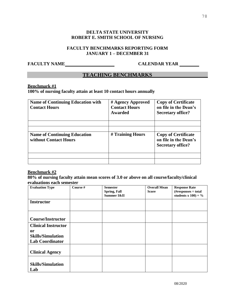# **DELTA STATE UNIVERSITY ROBERT E. SMITH SCHOOL OF NURSING**

#### **FACULTY BENCHMARKS REPORTING FORM JANUARY 1 – DECEMBER 31**

# **FACULTY NAME CALENDAR YEAR**

# **TEACHING BENCHMARKS**

#### **Benchmark #1**

# **100% of nursing faculty attain at least 10 contact hours annually**

| <b>Name of Continuing Education with</b><br><b>Contact Hours</b> | # Agency Approved<br><b>Contact Hours</b><br><b>Awarded</b> | <b>Copy of Certificate</b><br>on file in the Dean's<br><b>Secretary office?</b> |
|------------------------------------------------------------------|-------------------------------------------------------------|---------------------------------------------------------------------------------|
| <b>Name of Continuing Education</b><br>without Contact Hours     | # Training Hours                                            | <b>Copy of Certificate</b><br>on file in the Dean's<br><b>Secretary office?</b> |
|                                                                  |                                                             |                                                                                 |

#### **Benchmark #2**

#### **80% of nursing faculty attain mean scores of 3.0 or above on all course/faculty/clinical evaluations each semester**

| <b>Semester</b><br>Spring, Fall | <b>Overall Mean</b><br><b>Score</b> | <b>Response Rate</b><br>$(H$ responses $\div$ total<br>students x $100$ ) = % |
|---------------------------------|-------------------------------------|-------------------------------------------------------------------------------|
|                                 |                                     |                                                                               |
|                                 |                                     |                                                                               |
|                                 |                                     |                                                                               |
|                                 |                                     |                                                                               |
|                                 |                                     |                                                                               |
|                                 |                                     |                                                                               |
|                                 |                                     |                                                                               |
|                                 |                                     |                                                                               |
|                                 | Summer I&II                         |                                                                               |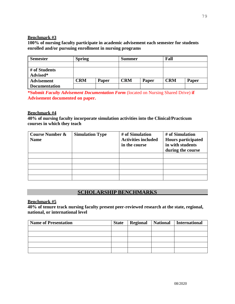#### **Benchmark #3**

**100% of nursing faculty participate in academic advisement each semester for students enrolled and/or pursuing enrollment in nursing programs**

| <b>Semester</b>           | <b>Spring</b> |              | <b>Summer</b> |       | Fall       |              |
|---------------------------|---------------|--------------|---------------|-------|------------|--------------|
|                           |               |              |               |       |            |              |
| # of Students<br>Advised* |               |              |               |       |            |              |
| <b>Advisement</b>         | CRM           | <b>Paper</b> | <b>CRM</b>    | Paper | <b>CRM</b> | <b>Paper</b> |
| <b>Documentation</b>      |               |              |               |       |            |              |

**\*Submit** *Faculty Advisement Documentation Form* (located on Nursing Shared Drive) **if Advisement documented on paper.** 

# **Benchmark #4**

**40% of nursing faculty incorporate simulation activities into the Clinical/Practicum courses in which they teach**

| <b>Course Number &amp;</b><br><b>Name</b> | <b>Simulation Type</b> | # of Simulation<br><b>Activities included</b><br>in the course | # of Simulation<br><b>Hours participated</b><br>in with students<br>during the course |
|-------------------------------------------|------------------------|----------------------------------------------------------------|---------------------------------------------------------------------------------------|
|                                           |                        |                                                                |                                                                                       |
|                                           |                        |                                                                |                                                                                       |
|                                           |                        |                                                                |                                                                                       |
|                                           |                        |                                                                |                                                                                       |
|                                           |                        |                                                                |                                                                                       |

# **SCHOLARSHIP BENCHMARKS**

**Benchmark #5**

**40% of tenure track nursing faculty present peer-reviewed research at the state, regional, national, or international level**

| <b>Name of Presentation</b> | <b>State</b> | <b>Regional</b> | National   International |
|-----------------------------|--------------|-----------------|--------------------------|
|                             |              |                 |                          |
|                             |              |                 |                          |
|                             |              |                 |                          |
|                             |              |                 |                          |
|                             |              |                 |                          |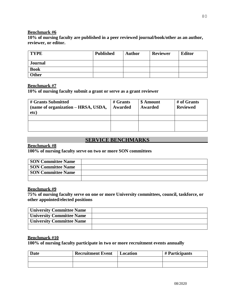#### **Benchmark #6**

**10% of nursing faculty are published in a peer reviewed journal/book/other as an author, reviewer, or editor.**

| <b>TYPE</b>    | <b>Published</b> | <b>Author</b> | <b>Reviewer</b> | <b>Editor</b> |
|----------------|------------------|---------------|-----------------|---------------|
| <b>Journal</b> |                  |               |                 |               |
| <b>Book</b>    |                  |               |                 |               |
| Other          |                  |               |                 |               |

#### **Benchmark #7**

**10% of nursing faculty submit a grant or serve as a grant reviewer**

| # Grants Submitted<br>(name of organization – HRSA, USDA,<br>etc) | $#$ Grants<br>Awarded | \$ Amount<br>Awarded | # of Grants<br><b>Reviewed</b> |
|-------------------------------------------------------------------|-----------------------|----------------------|--------------------------------|
|                                                                   |                       |                      |                                |
|                                                                   |                       |                      |                                |

# **SERVICE BENCHMARKS**

# **Benchmark #8**

**100% of nursing faculty serve on two or more SON committees**

| <b>SON Committee Name</b> |  |
|---------------------------|--|
| <b>SON Committee Name</b> |  |
| <b>SON Committee Name</b> |  |
|                           |  |

#### **Benchmark #9**

**75% of nursing faculty serve on one or more University committees, council, taskforce, or other appointed/elected positions**

| <b>University Committee Name</b> |  |
|----------------------------------|--|
| <b>University Committee Name</b> |  |
| <b>University Committee Name</b> |  |
|                                  |  |

## **Benchmark #10**

**100% of nursing faculty participate in two or more recruitment events annually**

| <b>Date</b> | <b>Recruitment Event</b> | Location | # Participants |
|-------------|--------------------------|----------|----------------|
|             |                          |          |                |
|             |                          |          |                |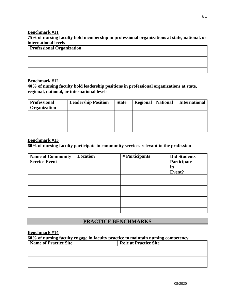#### **Benchmark #11**

**75% of nursing faculty hold membership in professional organizations at state, national, or international levels**

| <b>Professional Organization</b> |
|----------------------------------|
|                                  |
|                                  |
|                                  |
|                                  |

# **Benchmark #12**

**40% of nursing faculty hold leadership positions in professional organizations at state, regional, national, or international levels**

| <b>Professional</b><br>Organization | <b>Leadership Position</b> | <b>State</b> | <b>Regional</b>   National | <b>International</b> |
|-------------------------------------|----------------------------|--------------|----------------------------|----------------------|
|                                     |                            |              |                            |                      |
|                                     |                            |              |                            |                      |
|                                     |                            |              |                            |                      |
|                                     |                            |              |                            |                      |

## **Benchmark #13**

**60% of nursing faculty participate in community services relevant to the profession**

| <b>Name of Community</b><br><b>Service Event</b> | Location | # Participants | <b>Did Students</b><br>Participate<br>in<br>Event? |
|--------------------------------------------------|----------|----------------|----------------------------------------------------|
|                                                  |          |                |                                                    |
|                                                  |          |                |                                                    |
|                                                  |          |                |                                                    |
|                                                  |          |                |                                                    |
|                                                  |          |                |                                                    |
|                                                  |          |                |                                                    |
|                                                  |          |                |                                                    |

# **PRACTICE BENCHMARKS**

#### **Benchmark #14**

| 60% of nursing faculty engage in faculty practice to maintain nursing competency |                              |
|----------------------------------------------------------------------------------|------------------------------|
| <b>Name of Practice Site</b>                                                     | <b>Role at Practice Site</b> |
|                                                                                  |                              |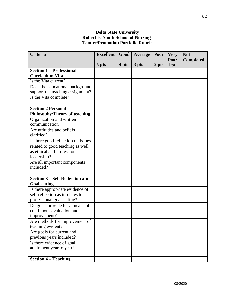# **Delta State University Robert E. Smith School of Nursing Tenure/Promotion Portfolio Rubric**

| Criteria                                            | <b>Excellent</b> | Good  | Average | Poor  | <b>Very</b> | <b>Not</b>       |
|-----------------------------------------------------|------------------|-------|---------|-------|-------------|------------------|
|                                                     |                  |       |         |       | Poor        | <b>Completed</b> |
|                                                     | 5 pts            | 4 pts | 3 pts   | 2 pts | $1$ pt      |                  |
| <b>Section 1 - Professional</b>                     |                  |       |         |       |             |                  |
| <b>Curriculum Vita</b>                              |                  |       |         |       |             |                  |
| Is the Vita current?                                |                  |       |         |       |             |                  |
| Does the educational background                     |                  |       |         |       |             |                  |
| support the teaching assignment?                    |                  |       |         |       |             |                  |
| Is the Vita complete?                               |                  |       |         |       |             |                  |
| <b>Section 2 Personal</b>                           |                  |       |         |       |             |                  |
| Philosophy/Theory of teaching                       |                  |       |         |       |             |                  |
| Organization and written                            |                  |       |         |       |             |                  |
| communication                                       |                  |       |         |       |             |                  |
| Are attitudes and beliefs                           |                  |       |         |       |             |                  |
| clarified?                                          |                  |       |         |       |             |                  |
| Is there good reflection on issues                  |                  |       |         |       |             |                  |
| related to good teaching as well                    |                  |       |         |       |             |                  |
| as ethical and professional                         |                  |       |         |       |             |                  |
| leadership?                                         |                  |       |         |       |             |                  |
| Are all important components                        |                  |       |         |       |             |                  |
| included?                                           |                  |       |         |       |             |                  |
|                                                     |                  |       |         |       |             |                  |
| <b>Section 3 – Self Reflection and</b>              |                  |       |         |       |             |                  |
| <b>Goal setting</b>                                 |                  |       |         |       |             |                  |
| Is there appropriate evidence of                    |                  |       |         |       |             |                  |
| self-reflection as it relates to                    |                  |       |         |       |             |                  |
| professional goal setting?                          |                  |       |         |       |             |                  |
| Do goals provide for a means of                     |                  |       |         |       |             |                  |
| continuous evaluation and                           |                  |       |         |       |             |                  |
| improvement?                                        |                  |       |         |       |             |                  |
| Are methods for improvement of<br>teaching evident? |                  |       |         |       |             |                  |
| Are goals for current and                           |                  |       |         |       |             |                  |
| previous years included?                            |                  |       |         |       |             |                  |
| Is there evidence of goal                           |                  |       |         |       |             |                  |
| attainment year to year?                            |                  |       |         |       |             |                  |
|                                                     |                  |       |         |       |             |                  |
| <b>Section 4 – Teaching</b>                         |                  |       |         |       |             |                  |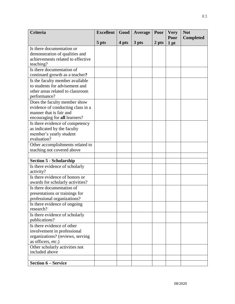| <b>Criteria</b>                                      | <b>Excellent</b> | Good  | Average | Poor  | <b>Very</b>  | <b>Not</b>       |
|------------------------------------------------------|------------------|-------|---------|-------|--------------|------------------|
|                                                      | 5 pts            | 4 pts | 3 pts   | 2 pts | Poor<br>1 pt | <b>Completed</b> |
| Is there documentation or                            |                  |       |         |       |              |                  |
| demonstration of qualities and                       |                  |       |         |       |              |                  |
| achievements related to effective                    |                  |       |         |       |              |                  |
| teaching?                                            |                  |       |         |       |              |                  |
| Is there documentation of                            |                  |       |         |       |              |                  |
| continued growth as a teacher?                       |                  |       |         |       |              |                  |
| Is the faculty member available                      |                  |       |         |       |              |                  |
| to students for advisement and                       |                  |       |         |       |              |                  |
| other areas related to classroom                     |                  |       |         |       |              |                  |
| performance?                                         |                  |       |         |       |              |                  |
| Does the faculty member show                         |                  |       |         |       |              |                  |
| evidence of conducting class in a                    |                  |       |         |       |              |                  |
| manner that is fair and                              |                  |       |         |       |              |                  |
| encouraging for all learners?                        |                  |       |         |       |              |                  |
| Is there evidence of competency                      |                  |       |         |       |              |                  |
| as indicated by the faculty                          |                  |       |         |       |              |                  |
| member's yearly student<br>evaluation?               |                  |       |         |       |              |                  |
| Other accomplishments related to                     |                  |       |         |       |              |                  |
| teaching not covered above                           |                  |       |         |       |              |                  |
|                                                      |                  |       |         |       |              |                  |
| <b>Section 5 - Scholarship</b>                       |                  |       |         |       |              |                  |
| Is there evidence of scholarly                       |                  |       |         |       |              |                  |
| activity?                                            |                  |       |         |       |              |                  |
| Is there evidence of honors or                       |                  |       |         |       |              |                  |
| awards for scholarly activities?                     |                  |       |         |       |              |                  |
| Is there documentation of                            |                  |       |         |       |              |                  |
| presentations or trainings for                       |                  |       |         |       |              |                  |
| professional organizations?                          |                  |       |         |       |              |                  |
| Is there evidence of ongoing                         |                  |       |         |       |              |                  |
| research?                                            |                  |       |         |       |              |                  |
| Is there evidence of scholarly                       |                  |       |         |       |              |                  |
| publications?                                        |                  |       |         |       |              |                  |
| Is there evidence of other                           |                  |       |         |       |              |                  |
| involvement in professional                          |                  |       |         |       |              |                  |
| organizations? (reviews, serving                     |                  |       |         |       |              |                  |
| as officers, etc.)<br>Other scholarly activities not |                  |       |         |       |              |                  |
| included above                                       |                  |       |         |       |              |                  |
|                                                      |                  |       |         |       |              |                  |
| <b>Section 6 – Service</b>                           |                  |       |         |       |              |                  |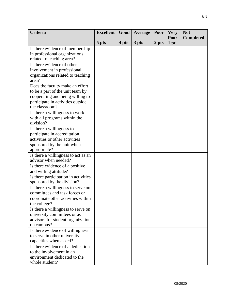| <b>Criteria</b>                                                   | <b>Excellent</b> | Good  | <b>Average</b> | Poor  | <b>Very</b>  | <b>Not</b>       |
|-------------------------------------------------------------------|------------------|-------|----------------|-------|--------------|------------------|
|                                                                   | 5 pts            | 4 pts | 3 pts          | 2 pts | Poor<br>1 pt | <b>Completed</b> |
| Is there evidence of membership                                   |                  |       |                |       |              |                  |
| in professional organizations                                     |                  |       |                |       |              |                  |
| related to teaching area?                                         |                  |       |                |       |              |                  |
| Is there evidence of other                                        |                  |       |                |       |              |                  |
| involvement in professional                                       |                  |       |                |       |              |                  |
| organizations related to teaching                                 |                  |       |                |       |              |                  |
| area?                                                             |                  |       |                |       |              |                  |
| Does the faculty make an effort                                   |                  |       |                |       |              |                  |
| to be a part of the unit team by                                  |                  |       |                |       |              |                  |
| cooperating and being willing to                                  |                  |       |                |       |              |                  |
| participate in activities outside                                 |                  |       |                |       |              |                  |
| the classroom?                                                    |                  |       |                |       |              |                  |
| Is there a willingness to work                                    |                  |       |                |       |              |                  |
| with all programs within the<br>division?                         |                  |       |                |       |              |                  |
| Is there a willingness to                                         |                  |       |                |       |              |                  |
| participate in accreditation                                      |                  |       |                |       |              |                  |
| activities or other activities                                    |                  |       |                |       |              |                  |
| sponsored by the unit when                                        |                  |       |                |       |              |                  |
| appropriate?                                                      |                  |       |                |       |              |                  |
| Is there a willingness to act as an                               |                  |       |                |       |              |                  |
| advisor when needed?                                              |                  |       |                |       |              |                  |
| Is there evidence of a positive                                   |                  |       |                |       |              |                  |
| and willing attitude?                                             |                  |       |                |       |              |                  |
| Is there participation in activities                              |                  |       |                |       |              |                  |
| sponsored by the division?                                        |                  |       |                |       |              |                  |
| Is there a willingness to serve on                                |                  |       |                |       |              |                  |
| committees and task forces or                                     |                  |       |                |       |              |                  |
| coordinate other activities within                                |                  |       |                |       |              |                  |
| the college?                                                      |                  |       |                |       |              |                  |
| Is there a willingness to serve on                                |                  |       |                |       |              |                  |
| university committees or as<br>advisors for student organizations |                  |       |                |       |              |                  |
| on campus?                                                        |                  |       |                |       |              |                  |
| Is there evidence of willingness                                  |                  |       |                |       |              |                  |
| to serve in other university                                      |                  |       |                |       |              |                  |
| capacities when asked?                                            |                  |       |                |       |              |                  |
| Is there evidence of a dedication                                 |                  |       |                |       |              |                  |
| to the involvement in an                                          |                  |       |                |       |              |                  |
| environment dedicated to the                                      |                  |       |                |       |              |                  |
| whole student?                                                    |                  |       |                |       |              |                  |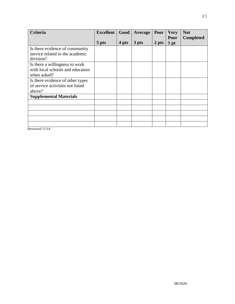| <b>Criteria</b>                              | <b>Excellent</b> | Good  | Average | Poor  | <b>Very</b>  | <b>Not</b>       |
|----------------------------------------------|------------------|-------|---------|-------|--------------|------------------|
|                                              | 5 pts            | 4 pts | 3 pts   | 2 pts | Poor<br>1 pt | <b>Completed</b> |
| Is there evidence of community               |                  |       |         |       |              |                  |
| service related to the academic<br>division? |                  |       |         |       |              |                  |
| Is there a willingness to work               |                  |       |         |       |              |                  |
| with local schools and educators             |                  |       |         |       |              |                  |
| when asked?                                  |                  |       |         |       |              |                  |
| Is there evidence of other types             |                  |       |         |       |              |                  |
| of service activities not listed             |                  |       |         |       |              |                  |
| above?                                       |                  |       |         |       |              |                  |
| <b>Supplemental Materials</b>                |                  |       |         |       |              |                  |
|                                              |                  |       |         |       |              |                  |
|                                              |                  |       |         |       |              |                  |
|                                              |                  |       |         |       |              |                  |
|                                              |                  |       |         |       |              |                  |
|                                              |                  |       |         |       |              |                  |

Reviewed 11/14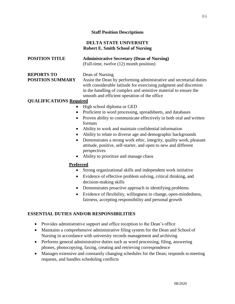# **Staff Position Descriptions**

# **DELTA STATE UNIVERSITY Robert E. Smith School of Nursing**

# **POSITION TITLE Administrative Secretary (Dean of Nursing)**

(Full-time, twelve (12) month position)

# **REPORTS TO** Dean of Nursing

**POSITION SUMMARY** Assist the Dean by performing administrative and secretarial duties with considerable latitude for exercising judgment and discretion in the handling of complex and sensitive material to ensure the smooth and efficient operation of the office

# **QUALIFICATIONS Required**

- High school diploma or GED
- Proficient in word processing, spreadsheets, and databases
- Proven ability to communicate effectively in both oral and written formats
- Ability to work and maintain confidential information
- Ability to relate to diverse age and demographic backgrounds
- Demonstrates a strong work ethic, integrity, quality work, pleasant attitude, positive, self-starter, and open to new and different perspectives
- Ability to prioritize and manage chaos

# **Preferred**

- Strong organizational skills and independent work initiative
- Evidence of effective problem solving, critical thinking, and decision-making skills
- Demonstrates proactive approach in identifying problems
- Evidence of flexibility, willingness to change, open-mindedness, fairness, accepting responsibility and personal growth

# **ESSENTIAL DUTIES AND/OR RESPONSIBILITIES**

- Provides administrative support and office reception to the Dean's office
- Maintains a comprehensive administrative filing system for the Dean and School of Nursing in accordance with university records management and archiving
- Performs general administrative duties such as word processing, filing, answering phones, photocopying, faxing, creating and retrieving correspondence
- Manages extensive and constantly changing schedules for the Dean; responds to meeting requests, and handles scheduling conflicts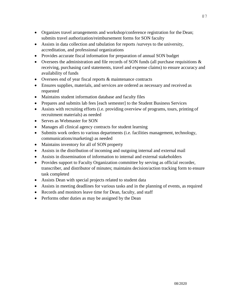- Organizes travel arrangements and workshop/conference registration for the Dean; submits travel authorization/reimbursement forms for SON faculty
- Assists in data collection and tabulation for reports /surveys to the university, accreditation, and professional organizations
- Provides accurate fiscal information for preparation of annual SON budget
- Oversees the administration and file records of SON funds (all purchase requisitions  $\&$ receiving, purchasing card statements, travel and expense claims) to ensure accuracy and availability of funds
- Oversees end of year fiscal reports & maintenance contracts
- Ensures supplies, materials, and services are ordered as necessary and received as requested
- Maintains student information database and faculty files
- Prepares and submits lab fees [each semester] to the Student Business Services
- Assists with recruiting efforts (i.e. providing overview of programs, tours, printing of recruitment materials) as needed
- Serves as Webmaster for SON
- Manages all clinical agency contracts for student learning
- Submits work orders to various departments (i.e. facilities management, technology, communications/marketing) as needed
- Maintains inventory for all of SON property
- Assists in the distribution of incoming and outgoing internal and external mail
- Assists in dissemination of information to internal and external stakeholders
- Provides support to Faculty Organization committee by serving as official recorder, transcriber, and distributor of minutes; maintains decision/action tracking form to ensure task completed
- Assists Dean with special projects related to student data
- Assists in meeting deadlines for various tasks and in the planning of events, as required
- Records and monitors leave time for Dean, faculty, and staff
- Performs other duties as may be assigned by the Dean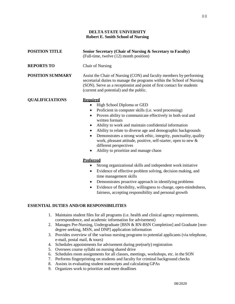#### **DELTA STATE UNIVERSITY Robert E. Smith School of Nursing**

| <b>POSITION TITLE</b>   | Senior Secretary (Chair of Nursing & Secretary to Faculty)<br>(Full-time, twelve (12) month position)                                                                                                                                                                                                                                                                                                                                                                                                                                                                                                 |  |  |  |
|-------------------------|-------------------------------------------------------------------------------------------------------------------------------------------------------------------------------------------------------------------------------------------------------------------------------------------------------------------------------------------------------------------------------------------------------------------------------------------------------------------------------------------------------------------------------------------------------------------------------------------------------|--|--|--|
| <b>REPORTS TO</b>       | <b>Chair of Nursing</b>                                                                                                                                                                                                                                                                                                                                                                                                                                                                                                                                                                               |  |  |  |
| <b>POSITION SUMMARY</b> | Assist the Chair of Nursing (CON) and faculty members by performing<br>secretarial duties to manage the programs within the School of Nursing<br>(SON). Serve as a receptionist and point of first contact for students<br>(current and potential) and the public.                                                                                                                                                                                                                                                                                                                                    |  |  |  |
| <b>QUALIFICIATIONS</b>  | <b>Required</b><br>High School Diploma or GED<br>٠<br>Proficient in computer skills (i.e. word processing)<br>$\bullet$<br>Proven ability to communicate effectively in both oral and<br>$\bullet$<br>written formats<br>Ability to work and maintain confidential information<br>٠<br>Ability to relate to diverse age and demographic backgrounds<br>$\bullet$<br>Demonstrates a strong work ethic, integrity, punctuality, quality<br>$\bullet$<br>work, pleasant attitude, positive, self-starter, open to new &<br>different perspectives<br>Ability to prioritize and manage chaos<br>$\bullet$ |  |  |  |
|                         | <b>Preferred</b><br>Strong organizational skills and independent work initiative<br>Evidence of effective problem solving decision making and                                                                                                                                                                                                                                                                                                                                                                                                                                                         |  |  |  |

- Evidence of effective problem solving, decision making, and time management skills
- Demonstrates proactive approach in identifying problems
- Evidence of flexibility, willingness to change, open-mindedness, fairness, accepting responsibility and personal growth

#### **ESSENTIAL DUTIES AND/OR RESPONSIBILITIES**

- 1. Maintains student files for all programs (i.e. health and clinical agency requirements, correspondence, and academic information for advisement)
- 2. Manages Pre-Nursing, Undergraduate [BSN & RN-BSN Completion] and Graduate [nondegree seeking, MSN, and DNP] application information
- 3. Provides overview of the various nursing programs to potential applicants (via telephone, e-mail, postal mail, & tours)
- 4. Schedules appointments for advisement during pre(early) registration
- 5. Oversees course syllabi on nursing shared drive
- 6. Schedules room assignments for all classes, meetings, workshops, etc. in the SON
- 7. Performs fingerprinting on students and faculty for criminal background checks
- 8. Assists in evaluating student transcripts and calculating GPAs
- 9. Organizes work to prioritize and meet deadlines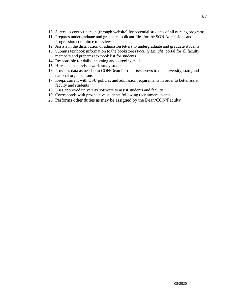- 10. Serves as contact person (through website) for potential students of all nursing programs
- 11. Prepares undergraduate and graduate applicant files for the SON Admissions and Progression committee to review
- 12. Assists in the distribution of admission letters to undergraduate and graduate students
- 13. Submits textbook information to the bookstore (*Faculty Enlight*) portal for all faculty members and prepares textbook list for students
- 14. Responsible for daily incoming and outgoing mail
- 15. Hires and supervises work-study students
- 16. Provides data as needed to CON/Dean for reports/surveys to the university, state, and national organizations
- 17. Keeps current with DSU policies and admission requirements in order to better assist faculty and students
- 18. Uses approved university software to assist students and faculty
- 19. Corresponds with prospective students following recruitment events
- 20. Performs other duties as may be assigned by the Dean/CON/Faculty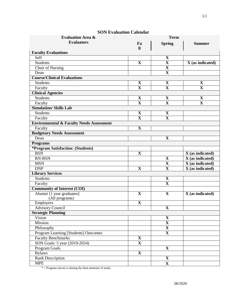| <b>Evaluation Area &amp;</b>                        | <b>Term</b>             |                         |                               |
|-----------------------------------------------------|-------------------------|-------------------------|-------------------------------|
| <b>Evaluators</b>                                   | Fa<br>$\mathbf{u}$      | <b>Spring</b>           | <b>Summer</b>                 |
| <b>Faculty Evaluations</b>                          |                         |                         |                               |
| Self                                                |                         | X                       |                               |
| Students                                            | $\overline{\mathbf{X}}$ | $\overline{\mathbf{X}}$ | X (as indicated)              |
| <b>Chair of Nursing</b>                             |                         | $\mathbf X$             |                               |
| Dean                                                |                         | $\mathbf X$             |                               |
| <b>Course/Clinical Evaluations</b>                  |                         |                         |                               |
| <b>Students</b>                                     | $\mathbf X$             | $\mathbf X$             | X                             |
| Faculty                                             | $\overline{\mathbf{X}}$ | $\overline{\mathbf{X}}$ | $\mathbf X$                   |
| <b>Clinical Agencies</b>                            |                         |                         |                               |
| <b>Students</b>                                     | $\mathbf X$             | $\mathbf X$             | $\mathbf X$                   |
| Faculty                                             | $\overline{\mathbf{X}}$ | $\overline{\mathbf{X}}$ | $\overline{\mathbf{X}}$       |
| <b>Simulation/ Skills Lab</b>                       |                         |                         |                               |
| <b>Students</b>                                     | $\mathbf X$             | $\mathbf X$             |                               |
| Faculty                                             | $\overline{\mathbf{X}}$ | $\mathbf X$             |                               |
| <b>Environmental &amp; Faculty Needs Assessment</b> |                         |                         |                               |
| Faculty                                             | $\mathbf X$             |                         |                               |
| <b>Budgetary Needs Assessment</b>                   |                         |                         |                               |
| Dean                                                |                         | $\mathbf X$             |                               |
| <b>Programs</b>                                     |                         |                         |                               |
| <i><b>*Program Satisfaction: (Students)</b></i>     |                         |                         |                               |
| <b>BSN</b>                                          | $\mathbf X$             |                         | $X$ (as indicated)            |
| RN-BSN                                              |                         | $\mathbf X$             | $X$ (as indicated)            |
| <b>MSN</b>                                          |                         | $\mathbf X$             | $\overline{X}$ (as indicated) |
| <b>DNP</b>                                          | $\overline{\mathbf{X}}$ | $\mathbf X$             | X (as indicated)              |
| <b>Library Services</b>                             |                         |                         |                               |
| Students                                            |                         | $\mathbf X$             |                               |
| Faculty                                             |                         | $\mathbf X$             |                               |
| <b>Community of Interest (COI)</b>                  |                         |                         |                               |
| Alumni [1 year graduates]                           | X                       | $\mathbf X$             | $X$ (as indicated)            |
| (All programs)                                      |                         |                         |                               |
| Employers                                           | $\overline{\mathbf{X}}$ |                         |                               |
| <b>Advisory Council</b>                             |                         | $\overline{\mathbf{X}}$ |                               |
| <b>Strategic Planning</b>                           |                         |                         |                               |
| Vision                                              |                         | $\mathbf X$             |                               |
| Mission                                             |                         | $\overline{\mathbf{X}}$ |                               |
| Philosophy                                          |                         | $\overline{\mathbf{X}}$ |                               |
| Program Learning [Students] Outcomes                |                         | $\overline{\mathbf{X}}$ |                               |
| <b>Faculty Benchmarks</b>                           | $\overline{\mathbf{X}}$ |                         |                               |
| SON Goals: 5 year (2019-2024)                       | $\overline{\mathbf{X}}$ |                         |                               |
| Program Goals                                       |                         | $\overline{\mathbf{X}}$ |                               |
| <b>Bylaws</b>                                       | $\overline{\mathbf{X}}$ |                         |                               |
| <b>Rank Description</b>                             |                         | $\overline{\mathbf{X}}$ |                               |
| <b>MPE</b>                                          |                         | $\mathbf{X}$            |                               |

#### **SON Evaluation Calendar**

 $*$  = Program survey is during the final semester of study.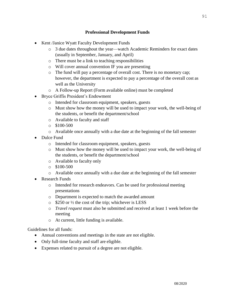# **Professional Development Funds**

- Kent /Janice Wyatt Faculty Development Funds
	- o 3 due dates throughout the year—watch Academic Reminders for exact dates (usually in September, January, and April)
	- o There must be a link to teaching responsibilities
	- o Will cover annual convention IF you are presenting
	- o The fund will pay a percentage of overall cost. There is no monetary cap; however, the department is expected to pay a percentage of the overall cost as well as the University
	- o A Follow-up Report (Form available online) must be completed
- Bryce Griffis President's Endowment
	- o Intended for classroom equipment, speakers, guests
	- o Must show how the money will be used to impact your work, the well-being of the students, or benefit the department/school
	- o Available to faculty and staff
	- $\circ$  \$100-500
	- o Available once annually with a due date at the beginning of the fall semester
- Dulce Fund
	- o Intended for classroom equipment, speakers, guests
	- o Must show how the money will be used to impact your work, the well-being of the students, or benefit the department/school
	- o Available to faculty only
	- o \$100-500
	- o Available once annually with a due date at the beginning of the fall semester
- Research Funds
	- o Intended for research endeavors. Can be used for professional meeting presentations
	- o Department is expected to match the awarded amount
	- $\circ$  \$250 or  $\frac{1}{2}$  the cost of the trip; whichever is LESS
	- o *Travel request* must also be submitted and received at least 1 week before the meeting
	- o At current, little funding is available.

Guidelines for all funds:

- Annual conventions and meetings in the state are not eligible.
- Only full-time faculty and staff are eligible.
- Expenses related to pursuit of a degree are not eligible.